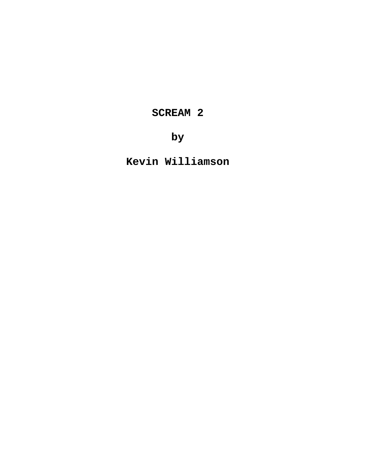**SCREAM 2**

**by**

**Kevin Williamson**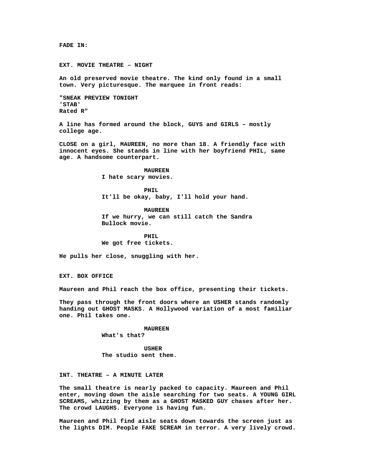**FADE IN:**

**EXT. MOVIE THEATRE – NIGHT**

**An old preserved movie theatre. The kind only found in a small town. Very picturesque. The marquee in front reads:**

**"SNEAK PREVIEW TONIGHT 'STAB' Rated R"**

**A line has formed around the block, GUYS and GIRLS – mostly college age.**

**CLOSE on a girl, MAUREEN, no more than 18. A friendly face with innocent eyes. She stands in line with her boyfriend PHIL, same age. A handsome counterpart.**

> **MAUREEN I hate scary movies.**

**PHIL It'll be okay, baby, I'll hold your hand.**

**MAUREEN If we hurry, we can still catch the Sandra Bullock movie.**

**PHIL We got free tickets.**

**He pulls her close, snuggling with her.**

**EXT. BOX OFFICE**

**Maureen and Phil reach the box office, presenting their tickets.**

**They pass through the front doors where an USHER stands randomly handing out GHOST MASKS. A Hollywood variation of a most familiar one. Phil takes one.**

#### **MAUREEN**

**What's that?**

**USHER The studio sent them.**

**INT. THEATRE – A MINUTE LATER**

**The small theatre is nearly packed to capacity. Maureen and Phil enter, moving down the aisle searching for two seats. A YOUNG GIRL SCREAMS, whizzing by them as a GHOST MASKED GUY chases after her. The crowd LAUGHS. Everyone is having fun.**

**Maureen and Phil find aisle seats down towards the screen just as the lights DIM. People FAKE SCREAM in terror. A very lively crowd.**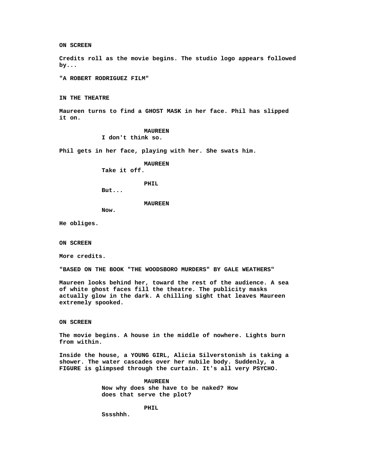**ON SCREEN**

**Credits roll as the movie begins. The studio logo appears followed by...**

**"A ROBERT RODRIGUEZ FILM"**

**IN THE THEATRE**

**Maureen turns to find a GHOST MASK in her face. Phil has slipped it on.**

> **MAUREEN I don't think so.**

**Phil gets in her face, playing with her. She swats him.**

**MAUREEN**

**Take it off.**

**PHIL**

**But...**

# **MAUREEN**

**Now.**

**He obliges.**

**ON SCREEN**

**More credits.**

**"BASED ON THE BOOK "THE WOODSBORO MURDERS" BY GALE WEATHERS"**

**Maureen looks behind her, toward the rest of the audience. A sea of white ghost faces fill the theatre. The publicity masks actually glow in the dark. A chilling sight that leaves Maureen extremely spooked.**

**ON SCREEN**

**The movie begins. A house in the middle of nowhere. Lights burn from within.**

**Inside the house, a YOUNG GIRL, Alicia Silverstonish is taking a shower. The water cascades over her nubile body. Suddenly, a FIGURE is glimpsed through the curtain. It's all very PSYCHO.**

> **MAUREEN Now why does she have to be naked? How does that serve the plot?**

> > **PHIL**

**Sssshhh.**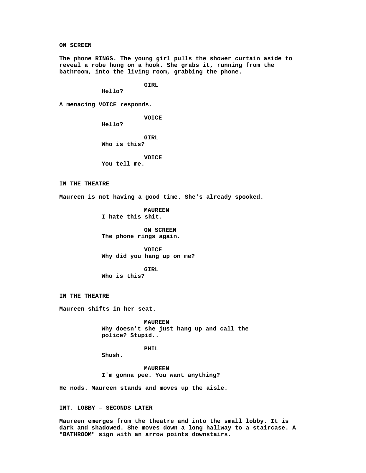**ON SCREEN**

**The phone RINGS. The young girl pulls the shower curtain aside to reveal a robe hung on a hook. She grabs it, running from the bathroom, into the living room, grabbing the phone.**

**GIRL**

**Hello?**

**A menacing VOICE responds.**

**VOICE**

**Hello?**

**GIRL Who is this?**

**VOICE**

**You tell me.**

**IN THE THEATRE**

**Maureen is not having a good time. She's already spooked.**

**MAUREEN I hate this shit.**

**ON SCREEN The phone rings again.**

**VOICE Why did you hang up on me?**

**GIRL Who is this?**

**IN THE THEATRE**

**Maureen shifts in her seat.**

**MAUREEN Why doesn't she just hang up and call the police? Stupid..**

**PHIL**

**Shush.**

**MAUREEN I'm gonna pee. You want anything?**

**He nods. Maureen stands and moves up the aisle.**

**INT. LOBBY – SECONDS LATER**

**Maureen emerges from the theatre and into the small lobby. It is dark and shadowed. She moves down a long hallway to a staircase. A "BATHROOM" sign with an arrow points downstairs.**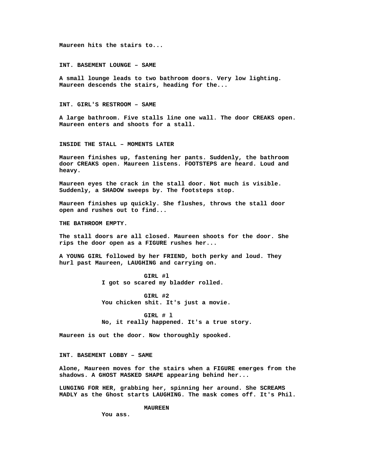**Maureen hits the stairs to...**

**INT. BASEMENT LOUNGE – SAME**

**A small lounge leads to two bathroom doors. Very low lighting. Maureen descends the stairs, heading for the...**

**INT. GIRL'S RESTROOM – SAME**

**A large bathroom. Five stalls line one wall. The door CREAKS open. Maureen enters and shoots for a stall.**

**INSIDE THE STALL – MOMENTS LATER**

**Maureen finishes up, fastening her pants. Suddenly, the bathroom door CREAKS open. Maureen listens. FOOTSTEPS are heard. Loud and heavy.**

**Maureen eyes the crack in the stall door. Not much is visible. Suddenly, a SHADOW sweeps by. The footsteps stop.**

**Maureen finishes up quickly. She flushes, throws the stall door open and rushes out to find...**

**THE BATHROOM EMPTY.**

**The stall doors are all closed. Maureen shoots for the door. She rips the door open as a FIGURE rushes her...**

**A YOUNG GIRL followed by her FRIEND, both perky and loud. They hurl past Maureen, LAUGHING and carrying on.**

> **GIRL #l I got so scared my bladder rolled.**

**GIRL #2 You chicken shit. It's just a movie.**

**GIRL # l No, it really happened. It's a true story.**

**Maureen is out the door. Now thoroughly spooked.**

**INT. BASEMENT LOBBY – SAME**

**Alone, Maureen moves for the stairs when a FIGURE emerges from the shadows. A GHOST MASKED SHAPE appearing behind her...**

**LUNGING FOR HER, grabbing her, spinning her around. She SCREAMS MADLY as the Ghost starts LAUGHING. The mask comes off. It's Phil.**

**MAUREEN**

**You ass.**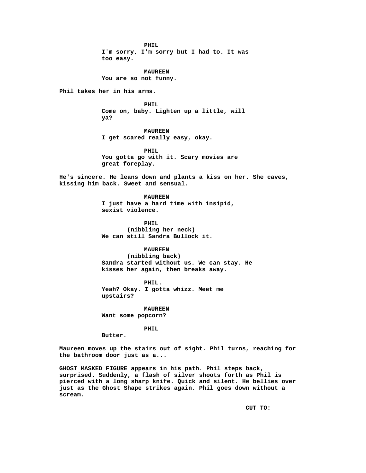**PHIL I'm sorry, I'm sorry but I had to. It was too easy.**

**MAUREEN You are so not funny.**

**Phil takes her in his arms.**

**PHIL Come on, baby. Lighten up a little, will ya?**

**MAUREEN I get scared really easy, okay.**

**PHIL You gotta go with it. Scary movies are great foreplay.**

**He's sincere. He leans down and plants a kiss on her. She caves, kissing him back. Sweet and sensual.**

> **MAUREEN I just have a hard time with insipid, sexist violence.**

**PHIL (nibbling her neck) We can still Sandra Bullock it.**

# **MAUREEN**

**(nibbling back) Sandra started without us. We can stay. He kisses her again, then breaks away.**

**PHIL. Yeah? Okay. I gotta whizz. Meet me upstairs?**

**MAUREEN Want some popcorn?**

**PHIL**

**Butter.**

**Maureen moves up the stairs out of sight. Phil turns, reaching for the bathroom door just as a...**

**GHOST MASKED FIGURE appears in his path. Phil steps back, surprised. Suddenly, a flash of silver shoots forth as Phil is pierced with a long sharp knife. Quick and silent. He bellies over just as the Ghost Shape strikes again. Phil goes down without a scream.**

**CUT TO:**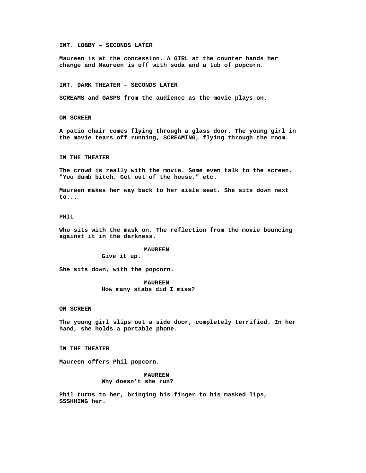### **INT. LOBBY – SECONDS LATER**

**Maureen is at the concession. A GIRL at the counter hands her change and Maureen is off with soda and a tub of popcorn.**

#### **INT. DARK THEATER – SECONDS LATER**

**SCREAMS and GASPS from the audience as the movie plays on.**

### **ON SCREEN**

**A patio chair comes flying through a glass door. The young girl in the movie tears off running, SCREAMING, flying through the room.**

#### **IN THE THEATER**

**The crowd is really with the movie. Some even talk to the screen. "You dumb bitch. Get out of the house." etc.**

**Maureen makes her way back to her aisle seat. She sits down next to...**

# **PHIL**

**Who sits with the mask on. The reflection from the movie bouncing against it in the darkness.**

#### **MAUREEN**

**Give it up.**

**She sits down, with the popcorn.**

**MAUREEN How many stabs did I miss?**

# **ON SCREEN**

**The young girl slips out a side door, completely terrified. In her hand, she holds a portable phone.**

**IN THE THEATER**

**Maureen offers Phil popcorn.**

**MAUREEN Why doesn't she run?**

**Phil turns to her, bringing his finger to his masked lips, SSSHHING her.**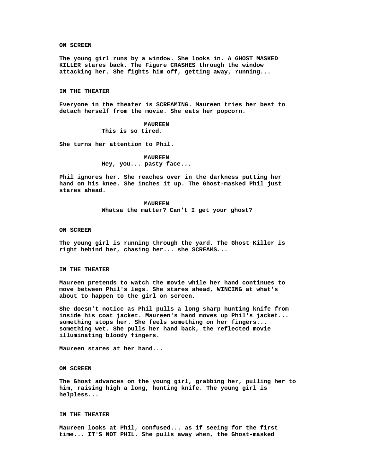**ON SCREEN**

**The young girl runs by a window. She looks in. A GHOST MASKED KILLER stares back. The Figure CRASHES through the window attacking her. She fights him off, getting away, running...**

#### **IN THE THEATER**

**Everyone in the theater is SCREAMING. Maureen tries her best to detach herself from the movie. She eats her popcorn.**

### **MAUREEN**

**This is so tired.**

**She turns her attention to Phil.**

# **MAUREEN Hey, you... pasty face...**

**Phil ignores her. She reaches over in the darkness putting her hand on his knee. She inches it up. The Ghost-masked Phil just stares ahead.**

> **MAUREEN Whatsa the matter? Can't I get your ghost?**

### **ON SCREEN**

**The young girl is running through the yard. The Ghost Killer is right behind her, chasing her... she SCREAMS...**

## **IN THE THEATER**

**Maureen pretends to watch the movie while her hand continues to move between Phil's legs. She stares ahead, WINCING at what's about to happen to the girl on screen.**

**She doesn't notice as Phil pulls a long sharp hunting knife from inside his coat jacket. Maureen's hand moves up Phil's jacket... something stops her. She feels something on her fingers... something wet. She pulls her hand back, the reflected movie illuminating bloody fingers.**

**Maureen stares at her hand...**

#### **ON SCREEN**

**The Ghost advances on the young girl, grabbing her, pulling her to him, raising high a long, hunting knife. The young girl is helpless...**

# **IN THE THEATER**

**Maureen looks at Phil, confused... as if seeing for the first time... IT'S NOT PHIL. She pulls away when, the Ghost-masked**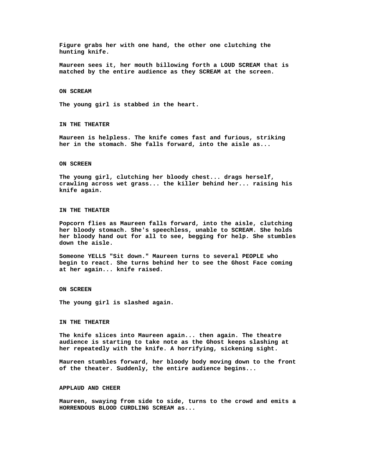**Figure grabs her with one hand, the other one clutching the hunting knife.**

**Maureen sees it, her mouth billowing forth a LOUD SCREAM that is matched by the entire audience as they SCREAM at the screen.**

### **ON SCREAM**

**The young girl is stabbed in the heart.**

### **IN THE THEATER**

**Maureen is helpless. The knife comes fast and furious, striking her in the stomach. She falls forward, into the aisle as...**

### **ON SCREEN**

**The young girl, clutching her bloody chest... drags herself, crawling across wet grass... the killer behind her... raising his knife again.**

### **IN THE THEATER**

**Popcorn flies as Maureen falls forward, into the aisle, clutching her bloody stomach. She's speechless, unable to SCREAM. She holds her bloody hand out for all to see, begging for help. She stumbles down the aisle.**

**Someone YELLS "Sit down." Maureen turns to several PEOPLE who begin to react. She turns behind her to see the Ghost Face coming at her again... knife raised.**

### **ON SCREEN**

**The young girl is slashed again.**

## **IN THE THEATER**

**The knife slices into Maureen again... then again. The theatre audience is starting to take note as the Ghost keeps slashing at her repeatedly with the knife. A horrifying, sickening sight.**

**Maureen stumbles forward, her bloody body moving down to the front of the theater. Suddenly, the entire audience begins...**

## **APPLAUD AND CHEER**

**Maureen, swaying from side to side, turns to the crowd and emits a HORRENDOUS BLOOD CURDLING SCREAM as...**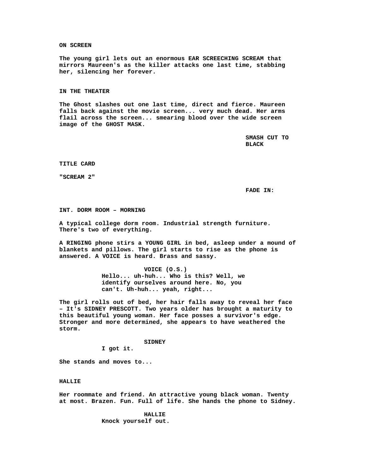**ON SCREEN**

**The young girl lets out an enormous EAR SCREECHING SCREAM that mirrors Maureen's as the killer attacks one last time, stabbing her, silencing her forever.**

### **IN THE THEATER**

**The Ghost slashes out one last time, direct and fierce. Maureen falls back against the movie screen... very much dead. Her arms flail across the screen... smearing blood over the wide screen image of the GHOST MASK.**

> **SMASH CUT TO BLACK**

**TITLE CARD**

**"SCREAM 2"**

**FADE IN:**

**INT. DORM ROOM – MORNING**

**A typical college dorm room. Industrial strength furniture. There's two of everything.**

**A RINGING phone stirs a YOUNG GIRL in bed, asleep under a mound of blankets and pillows. The girl starts to rise as the phone is answered. A VOICE is heard. Brass and sassy.**

> **VOICE (O.S.) Hello... uh-huh... Who is this? Well, we identify ourselves around here. No, you can't. Uh-huh... yeah, right...**

**The girl rolls out of bed, her hair falls away to reveal her face – It's SIDNEY PRESCOTT. Two years older has brought a maturity to this beautiful young woman. Her face posses a survivor's edge. Stronger and more determined, she appears to have weathered the storm.**

# **SIDNEY**

**I got it.**

**She stands and moves to...**

## **HALLIE**

**Her roommate and friend. An attractive young black woman. Twenty at most. Brazen. Fun. Full of life. She hands the phone to Sidney.**

> **HALLIE Knock yourself out.**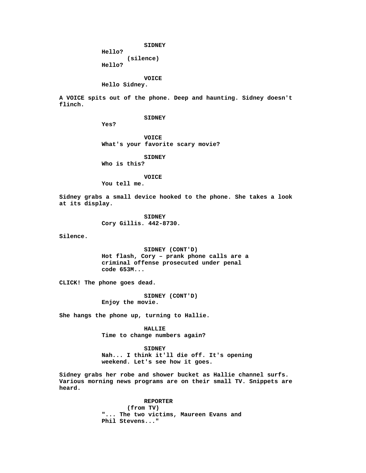**SIDNEY**

**Hello? (silence)**

**Hello?**

**VOICE**

**Hello Sidney.**

**A VOICE spits out of the phone. Deep and haunting. Sidney doesn't flinch.**

**SIDNEY**

**Yes?**

**VOICE What's your favorite scary movie?**

**SIDNEY**

**Who is this?**

**VOICE**

**You tell me.**

**Sidney grabs a small device hooked to the phone. She takes a look at its display.**

> **SIDNEY Cory Gillis. 442-8730.**

**Silence.**

**SIDNEY (CONT'D) Hot flash, Cory – prank phone calls are a criminal offense prosecuted under penal code 653M...**

**CLICK! The phone goes dead.**

**SIDNEY (CONT'D) Enjoy the movie.**

**She hangs the phone up, turning to Hallie.**

**HALLIE Time to change numbers again?**

**SIDNEY Nah... I think it'll die off. It's opening weekend. Let's see how it goes.**

**Sidney grabs her robe and shower bucket as Hallie channel surfs. Various morning news programs are on their small TV. Snippets are heard.**

> **REPORTER (from TV) "... The two victims, Maureen Evans and Phil Stevens..."**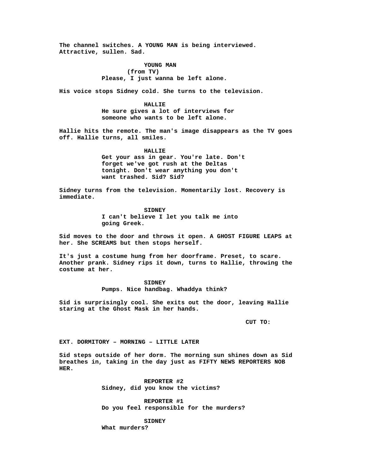**The channel switches. A YOUNG MAN is being interviewed. Attractive, sullen. Sad.**

> **YOUNG MAN (from TV) Please, I just wanna be left alone.**

**His voice stops Sidney cold. She turns to the television.**

**HALLIE He sure gives a lot of interviews for someone who wants to be left alone.**

**Hallie hits the remote. The man's image disappears as the TV goes off. Hallie turns, all smiles.**

> **HALLIE Get your ass in gear. You're late. Don't forget we've got rush at the Deltas tonight. Don't wear anything you don't want trashed. Sid? Sid?**

**Sidney turns from the television. Momentarily lost. Recovery is immediate.**

> **SIDNEY I can't believe I let you talk me into going Greek.**

**Sid moves to the door and throws it open. A GHOST FIGURE LEAPS at her. She SCREAMS but then stops herself.**

**It's just a costume hung from her doorframe. Preset, to scare. Another prank. Sidney rips it down, turns to Hallie, throwing the costume at her.**

> **SIDNEY Pumps. Nice handbag. Whaddya think?**

**Sid is surprisingly cool. She exits out the door, leaving Hallie staring at the Ghost Mask in her hands.**

**CUT TO:**

**EXT. DORMITORY – MORNING – LITTLE LATER**

**Sid steps outside of her dorm. The morning sun shines down as Sid breathes in, taking in the day just as FIFTY NEWS REPORTERS NOB HER.**

> **REPORTER #2 Sidney, did you know the victims?**

**REPORTER #1 Do you feel responsible for the murders?**

**SIDNEY**

**What murders?**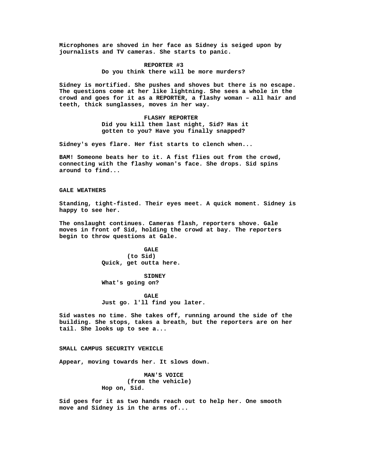**Microphones are shoved in her face as Sidney is seiged upon by journalists and TV cameras. She starts to panic.**

# **REPORTER #3**

**Do you think there will be more murders?**

**Sidney is mortified. She pushes and shoves but there is no escape. The questions come at her like lightning. She sees a whole in the crowd and goes for it as a REPORTER, a flashy woman – all hair and teeth, thick sunglasses, moves in her way.**

> **FLASHY REPORTER Did you kill them last night, Sid? Has it gotten to you? Have you finally snapped?**

**Sidney's eyes flare. Her fist starts to clench when...**

**BAM! Someone beats her to it. A fist flies out from the crowd, connecting with the flashy woman's face. She drops. Sid spins around to find...**

### **GALE WEATHERS**

**Standing, tight-fisted. Their eyes meet. A quick moment. Sidney is happy to see her.**

**The onslaught continues. Cameras flash, reporters shove. Gale moves in front of Sid, holding the crowd at bay. The reporters begin to throw questions at Gale.**

> **GALE (to Sid) Quick, get outta here.**

**SIDNEY What's going on?**

**GALE Just go. l'll find you later.**

**Sid wastes no time. She takes off, running around the side of the building. She stops, takes a breath, but the reporters are on her tail. She looks up to see a...**

# **SMALL CAMPUS SECURITY VEHICLE**

**Appear, moving towards her. It slows down.**

**MAN'S VOICE (from the vehicle) Hop on, Sid.**

**Sid goes for it as two hands reach out to help her. One smooth move and Sidney is in the arms of...**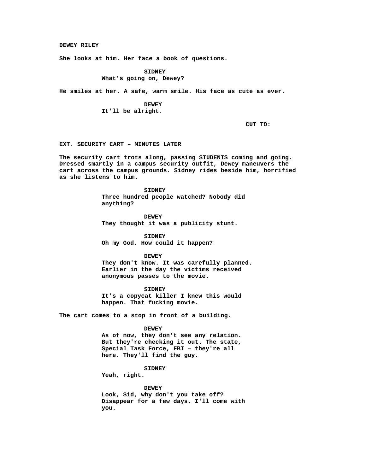**DEWEY RILEY**

**She looks at him. Her face a book of questions.**

**SIDNEY What's going on, Dewey?**

**He smiles at her. A safe, warm smile. His face as cute as ever.**

**DEWEY It'll be alright.**

**CUT TO:**

**EXT. SECURITY CART – MINUTES LATER**

**The security cart trots along, passing STUDENTS coming and going. Dressed smartly in a campus security outfit, Dewey maneuvers the cart across the campus grounds. Sidney rides beside him, horrified as she listens to him.**

> **SIDNEY Three hundred people watched? Nobody did anything?**

**DEWEY They thought it was a publicity stunt.**

**SIDNEY Oh my God. How could it happen?**

#### **DEWEY**

**They don't know. It was carefully planned. Earlier in the day the victims received anonymous passes to the movie.**

**SIDNEY It's a copycat killer I knew this would happen. That fucking movie.**

**The cart comes to a stop in front of a building.**

# **DEWEY**

**As of now, they don't see any relation. But they're checking it out. The state, Special Task Force, FBI – they're all here. They'll find the guy.**

# **SIDNEY**

**Yeah, right.**

**DEWEY Look, Sid, why don't you take off? Disappear for a few days. I'll come with you.**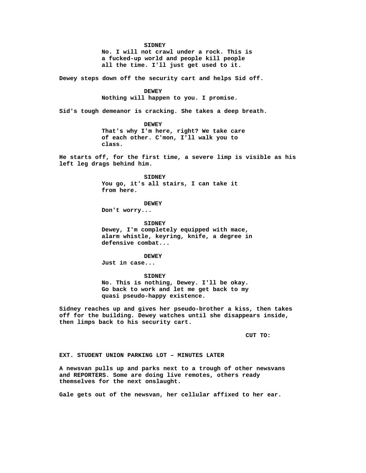**SIDNEY**

**No. I will not crawl under a rock. This is a fucked-up world and people kill people all the time. I'll just get used to it.**

**Dewey steps down off the security cart and helps Sid off.**

**DEWEY**

**Nothing will happen to you. I promise.**

**Sid's tough demeanor is cracking. She takes a deep breath.**

**DEWEY That's why I'm here, right? We take care of each other. C'mon, I'll walk you to class.**

**He starts off, for the first time, a severe limp is visible as his left leg drags behind him.**

> **SIDNEY You go, it's all stairs, I can take it from here.**

> > **DEWEY**

**Don't worry...**

**SIDNEY Dewey, I'm completely equipped with mace, alarm whistle, keyring, knife, a degree in defensive combat...**

**DEWEY Just in case...**

**SIDNEY No. This is nothing, Dewey. I'll be okay. Go back to work and let me get back to my quasi pseudo-happy existence.**

**Sidney reaches up and gives her pseudo-brother a kiss, then takes off for the building. Dewey watches until she disappears inside, then limps back to his security cart.**

**CUT TO:**

**EXT. STUDENT UNION PARKING LOT – MINUTES LATER**

**A newsvan pulls up and parks next to a trough of other newsvans and REPORTERS. Some are doing live remotes, others ready themselves for the next onslaught.**

**Gale gets out of the newsvan, her cellular affixed to her ear.**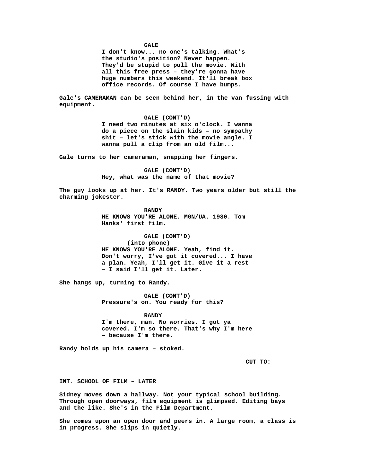**GALE**

**I don't know... no one's talking. What's the studio's position? Never happen. They'd be stupid to pull the movie. With all this free press – they're gonna have huge numbers this weekend. It'll break box office records. Of course I have bumps.**

**Gale's CAMERAMAN can be seen behind her, in the van fussing with equipment.**

> **GALE (CONT'D) I need two minutes at six o'clock. I wanna do a piece on the slain kids – no sympathy shit – let's stick with the movie angle. I wanna pull a clip from an old film...**

**Gale turns to her cameraman, snapping her fingers.**

**GALE (CONT'D) Hey, what was the name of that movie?**

**The guy looks up at her. It's RANDY. Two years older but still the charming jokester.**

> **RANDY HE KNOWS YOU'RE ALONE. MGN/UA. 1980. Tom Hanks' first film.**

**GALE (CONT'D) (into phone) HE KNOWS YOU'RE ALONE. Yeah, find it. Don't worry, I've got it covered... I have a plan. Yeah, I'll get it. Give it a rest – I said I'll get it. Later.**

**She hangs up, turning to Randy.**

**GALE (CONT'D) Pressure's on. You ready for this?**

**RANDY I'm there, man. No worries. I got ya covered. I'm so there. That's why I'm here – because I'm there.**

**Randy holds up his camera – stoked.**

**CUT TO:**

**INT. SCHOOL OF FILM – LATER**

**Sidney moves down a hallway. Not your typical school building. Through open doorways, film equipment is glimpsed. Editing bays and the like. She's in the Film Department.**

**She comes upon an open door and peers in. A large room, a class is in progress. She slips in quietly.**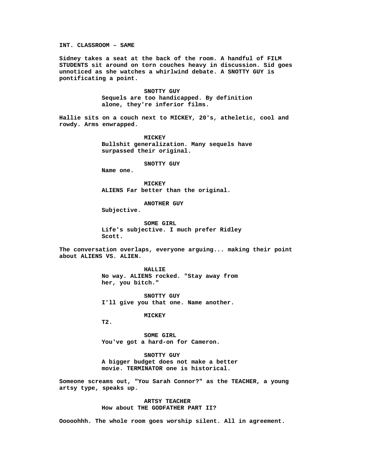**INT. CLASSROOM – SAME**

**Sidney takes a seat at the back of the room. A handful of FILM STUDENTS sit around on torn couches heavy in discussion. Sid goes unnoticed as she watches a whirlwind debate. A SNOTTY GUY is pontificating a point.**

> **SNOTTY GUY Sequels are too handicapped. By definition alone, they're inferior films.**

**Hallie sits on a couch next to MICKEY, 20's, atheletic, cool and rowdy. Arms enwrapped.**

> **MICKEY Bullshit generalization. Many sequels have surpassed their original.**

> > **SNOTTY GUY**

**Name one.**

**MICKEY ALIENS Far better than the original.**

**ANOTHER GUY**

**Subjective.**

**SOME GIRL Life's subjective. I much prefer Ridley Scott.**

**The conversation overlaps, everyone arguing... making their point about ALIENS VS. ALIEN.**

> **HALLIE No way. ALIENS rocked. "Stay away from her, you bitch."**

**SNOTTY GUY I'll give you that one. Name another.**

**MICKEY**

**T2.**

**SOME GIRL You've got a hard-on for Cameron.**

**SNOTTY GUY A bigger budget does not make a better movie. TERMINATOR one is historical.**

**Someone screams out, "You Sarah Connor?" as the TEACHER, a young artsy type, speaks up.**

> **ARTSY TEACHER How about THE GODFATHER PART II?**

**Ooooohhh. The whole room goes worship silent. All in agreement.**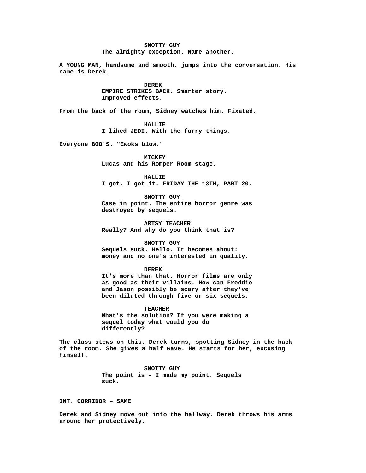**SNOTTY GUY The almighty exception. Name another.**

**A YOUNG MAN, handsome and smooth, jumps into the conversation. His name is Derek.**

> **DEREK EMPIRE STRIKES BACK. Smarter story. Improved effects.**

**From the back of the room, Sidney watches him. Fixated.**

**HALLIE**

**I liked JEDI. With the furry things.**

**Everyone BOO'S. "Ewoks blow."**

**MICKEY Lucas and his Romper Room stage.**

**HALLIE I got. I got it. FRIDAY THE 13TH, PART 20.**

**SNOTTY GUY Case in point. The entire horror genre was destroyed by sequels.**

**ARTSY TEACHER Really? And why do you think that is?**

### **SNOTTY GUY**

**Sequels suck. Hello. It becomes about: money and no one's interested in quality.**

## **DEREK**

**It's more than that. Horror films are only as good as their villains. How can Freddie and Jason possibly be scary after they've been diluted through five or six sequels.**

**TEACHER What's the solution? If you were making a sequel today what would you do differently?**

**The class stews on this. Derek turns, spotting Sidney in the back of the room. She gives a half wave. He starts for her, excusing himself.**

> **SNOTTY GUY The point is – I made my point. Sequels suck.**

**INT. CORRIDOR – SAME**

**Derek and Sidney move out into the hallway. Derek throws his arms around her protectively.**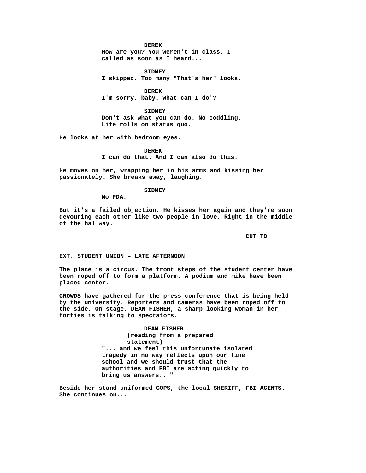#### **DEREK**

**How are you? You weren't in class. I called as soon as I heard...**

**SIDNEY I skipped. Too many "That's her" looks.**

**DEREK I'm sorry, baby. What can I do'?**

**SIDNEY Don't ask what you can do. No coddling. Life rolls on status quo.**

**He looks at her with bedroom eyes.**

**DEREK I can do that. And I can also do this.**

**He moves on her, wrapping her in his arms and kissing her passionately. She breaks away, laughing.**

# **SIDNEY**

**No PDA.**

**But it's a failed objection. He kisses her again and they're soon devouring each other like two people in love. Right in the middle of the hallway.**

**CUT TO:**

**EXT. STUDENT UNION – LATE AFTERNOON**

**The place is a circus. The front steps of the student center have been roped off to form a platform. A podium and mike have been placed center.**

**CROWDS have gathered for the press conference that is being held by the university. Reporters and cameras have been roped off to the side. On stage, DEAN FISHER, a sharp looking woman in her forties is talking to spectators.**

> **DEAN FISHER (reading from a prepared statement) "... and we feel this unfortunate isolated tragedy in no way reflects upon our fine school and we should trust that the authorities and FBI are acting quickly to bring us answers..."**

**Beside her stand uniformed COPS, the local SHERIFF, FBI AGENTS. She continues on...**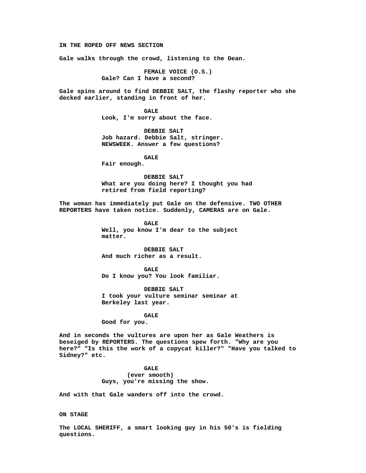**IN THE ROPED OFF NEWS SECTION**

**Gale walks through the crowd, listening to the Dean.**

**FEMALE VOICE (O.S.) Gale? Can I have a second?**

**Gale spins around to find DEBBIE SALT, the flashy reporter who she decked earlier, standing in front of her.**

> **GALE Look, I'm sorry about the face.**

**DEBBIE SALT Job hazard. Debbie Salt, stringer. NEWSWEEK. Answer a few questions?**

**GALE**

**Fair enough.**

**DEBBIE SALT What are you doing here? I thought you had retired from field reporting?**

**The woman has immediately put Gale on the defensive. TWO OTHER REPORTERS have taken notice. Suddenly, CAMERAS are on Gale.**

> **GALE Well, you know I'm dear to the subject matter.**

**DEBBIE SALT And much richer as a result.**

**GALE Do I know you? You look familiar.**

**DEBBIE SALT I took your vulture seminar seminar at Berkeley last year.**

**GALE Good for you.**

**And in seconds the vultures are upon her as Gale Weathers is beseiged by REPORTERS. The questions spew forth. "Why are you here?" "Is this the work of a copycat killer?" "Have you talked to Sidney?" etc.**

> **GALE (ever smooth) Guys, you're missing the show.**

**And with that Gale wanders off into the crowd.**

**ON STAGE**

**The LOCAL SHERIFF, a smart looking guy in his 50's is fielding questions.**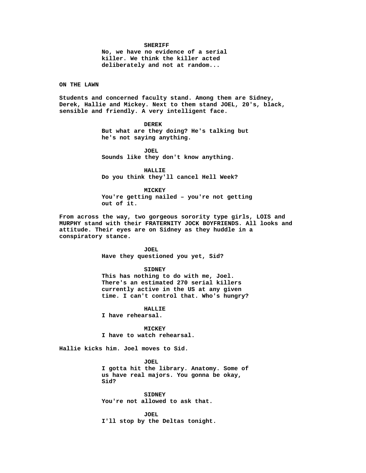#### **SHERIFF**

**No, we have no evidence of a serial killer. We think the killer acted deliberately and not at random...**

**ON THE LAWN**

**Students and concerned faculty stand. Among them are Sidney, Derek, Hallie and Mickey. Next to them stand JOEL, 20's, black, sensible and friendly. A very intelligent face.**

> **DEREK But what are they doing? He's talking but he's not saying anything.**

**JOEL Sounds like they don't know anything.**

**HALLIE Do you think they'll cancel Hell Week?**

**MICKEY You're getting nailed – you're not getting out of it.**

**From across the way, two gorgeous sorority type girls, LOIS and MURPHY stand with their FRATERNITY JOCK BOYFRIENDS. All looks and attitude. Their eyes are on Sidney as they huddle in a conspiratory stance.**

> **JOEL Have they questioned you yet, Sid?**

**SIDNEY This has nothing to do with me, Joel. There's an estimated 270 serial killers currently active in the US at any given time. I can't control that. Who's hungry?**

**HALLIE**

**I have rehearsal.**

**MICKEY I have to watch rehearsal.**

**Hallie kicks him. Joel moves to Sid.**

**JOEL**

**I gotta hit the library. Anatomy. Some of us have real majors. You gonna be okay, Sid?**

**SIDNEY You're not allowed to ask that.**

**JOEL I'll stop by the Deltas tonight.**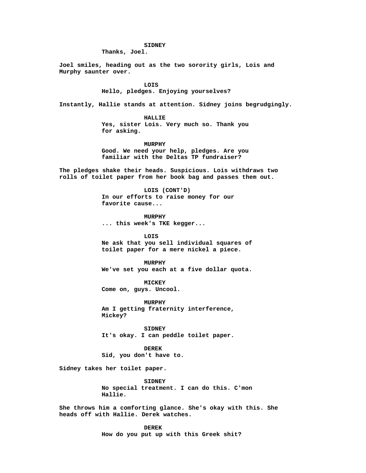# **SIDNEY**

**Thanks, Joel.**

**Joel smiles, heading out as the two sorority girls, Lois and Murphy saunter over.**

> **LOIS Hello, pledges. Enjoying yourselves?**

**Instantly, Hallie stands at attention. Sidney joins begrudgingly.**

**HALLIE**

**Yes, sister Lois. Very much so. Thank you for asking.**

**MURPHY Good. We need your help, pledges. Are you familiar with the Deltas TP fundraiser?**

**The pledges shake their heads. Suspicious. Lois withdraws two rolls of toilet paper from her book bag and passes them out.**

> **LOIS (CONT'D) In our efforts to raise money for our favorite cause...**

**MURPHY ... this week's TKE kegger...**

**LOIS Ne ask that you sell individual squares of toilet paper for a mere nickel a piece.**

**MURPHY We've set you each at a five dollar quota.**

**MICKEY Come on, guys. Uncool.**

**MURPHY Am I getting fraternity interference, Mickey?**

**SIDNEY It's okay. I can peddle toilet paper.**

**DEREK Sid, you don't have to.**

**Sidney takes her toilet paper.**

**SIDNEY No special treatment. I can do this. C'mon Hallie.**

**She throws him a comforting glance. She's okay with this. She heads off with Hallie. Derek watches.**

> **DEREK How do you put up with this Greek shit?**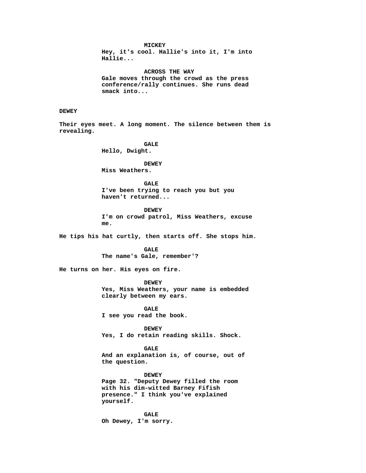**MICKEY**

**Hey, it's cool. Hallie's into it, I'm into Hallie...**

**ACROSS THE WAY Gale moves through the crowd as the press conference/rally continues. She runs dead smack into...**

# **DEWEY**

**Their eyes meet. A long moment. The silence between them is revealing.**

> **GALE Hello, Dwight.**

**DEWEY Miss Weathers.**

**GALE I've been trying to reach you but you haven't returned...**

**DEWEY I'm on crowd patrol, Miss Weathers, excuse me.**

**He tips his hat curtly, then starts off. She stops him.**

**GALE The name's Gale, remember'?**

**He turns on her. His eyes on fire.**

**DEWEY Yes, Miss Weathers, your name is embedded clearly between my ears.**

**GALE I see you read the book.**

**DEWEY Yes, I do retain reading skills. Shock.**

**GALE And an explanation is, of course, out of the question.**

**DEWEY**

**Page 32. "Deputy Dewey filled the room with his dim-witted Barney Fifish presence." I think you've explained yourself.**

**GALE Oh Dewey, I'm sorry.**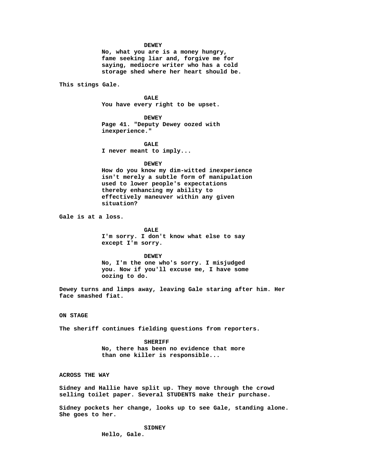#### **DEWEY**

**No, what you are is a money hungry, fame seeking liar and, forgive me for saying, mediocre writer who has a cold storage shed where her heart should be.**

**This stings Gale.**

**GALE You have every right to be upset.**

**DEWEY Page 41. "Deputy Dewey oozed with inexperience."**

**GALE I never meant to imply...**

### **DEWEY**

**How do you know my dim-witted inexperience isn't merely a subtle form of manipulation used to lower people's expectations thereby enhancing my ability to effectively maneuver within any given situation?**

**Gale is at a loss.**

**GALE I'm sorry. I don't know what else to say except I'm sorry.**

#### **DEWEY**

**No, I'm the one who's sorry. I misjudged you. Now if you'll excuse me, I have some oozing to do.**

**Dewey turns and limps away, leaving Gale staring after him. Her face smashed fiat.**

**ON STAGE**

**The sheriff continues fielding questions from reporters.**

**SHERIFF No, there has been no evidence that more than one killer is responsible...**

**ACROSS THE WAY**

**Sidney and Hallie have split up. They move through the crowd selling toilet paper. Several STUDENTS make their purchase.**

**Sidney pockets her change, looks up to see Gale, standing alone. She goes to her.**

> **SIDNEY Hello, Gale.**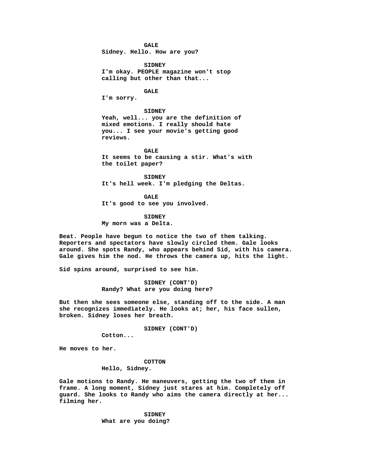**GALE**

**Sidney. Hello. How are you?**

**SIDNEY I'm okay. PEOPLE magazine won't stop calling but other than that...**

**GALE**

**I'm sorry.**

# **SIDNEY**

**Yeah, well... you are the definition of mixed emotions. I really should hate you... I see your movie's getting good reviews.**

**GALE It seems to be causing a stir. What's with the toilet paper?**

**SIDNEY It's hell week. I'm pledging the Deltas.**

**GALE It's good to see you involved.**

**SIDNEY My morn was a Delta.**

**Beat. People have begun to notice the two of them talking. Reporters and spectators have slowly circled them. Gale looks around. She spots Randy, who appears behind Sid, with his camera. Gale gives him the nod. He throws the camera up, hits the light.**

**Sid spins around, surprised to see him.**

**SIDNEY (CONT'D) Randy? What are you doing here?**

**But then she sees someone else, standing off to the side. A man she recognizes immediately. He looks at; her, his face sullen, broken. Sidney loses her breath.**

**SIDNEY (CONT'D)**

**Cotton...**

**He moves to her.**

#### **COTTON**

# **Hello, Sidney.**

**Gale motions to Randy. He maneuvers, getting the two of them in frame. A long moment, Sidney just stares at him. Completely off guard. She looks to Randy who aims the camera directly at her... filming her.**

> **SIDNEY What are you doing?**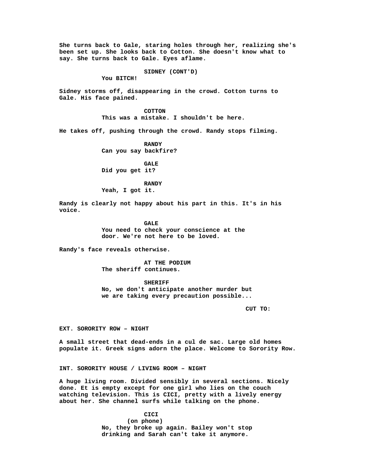**She turns back to Gale, staring holes through her, realizing she's been set up. She looks back to Cotton. She doesn't know what to say. She turns back to Gale. Eyes aflame.**

**SIDNEY (CONT'D)**

**You BITCH!**

**Sidney storms off, disappearing in the crowd. Cotton turns to Gale. His face pained.**

> **COTTON This was a mistake. I shouldn't be here.**

**He takes off, pushing through the crowd. Randy stops filming.**

**RANDY Can you say backfire?**

**GALE Did you get it?**

**RANDY Yeah, I got it.**

**Randy is clearly not happy about his part in this. It's in his voice.**

> **GALE You need to check your conscience at the door. We're not here to be loved.**

**Randy's face reveals otherwise.**

**AT THE PODIUM The sheriff continues.**

**SHERIFF No, we don't anticipate another murder but we are taking every precaution possible...**

**CUT TO:**

**EXT. SORORITY ROW – NIGHT**

**A small street that dead-ends in a cul de sac. Large old homes populate it. Greek signs adorn the place. Welcome to Sorority Row.**

**INT. SORORITY HOUSE / LIVING ROOM – NIGHT**

**A huge living room. Divided sensibly in several sections. Nicely done. Et is empty except for one girl who lies on the couch watching television. This is CICI, pretty with a lively energy about her. She channel surfs while talking on the phone.**

> **CICI (on phone) No, they broke up again. Bailey won't stop drinking and Sarah can't take it anymore.**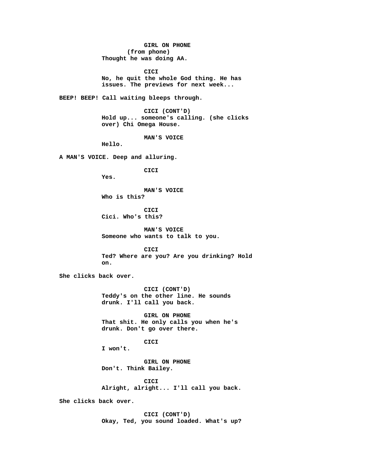**GIRL ON PHONE (from phone) Thought he was doing AA.**

**CICI No, he quit the whole God thing. He has issues. The previews for next week...**

**BEEP! BEEP! Call waiting bleeps through.**

**CICI (CONT'D) Hold up... someone's calling. (she clicks over) Chi Omega House.**

**MAN'S VOICE**

**Hello.**

**A MAN'S VOICE. Deep and alluring.**

**CICI**

**Yes.**

**MAN'S VOICE**

**Who is this?**

**CICI Cici. Who's this?**

**MAN'S VOICE Someone who wants to talk to you.**

**CICI Ted? Where are you? Are you drinking? Hold on.**

**She clicks back over.**

**CICI (CONT'D) Teddy's on the other line. He sounds drunk. I'll call you back.**

**GIRL ON PHONE That shit. He only calls you when he's drunk. Don't go over there.**

**CICI**

**I won't.**

**GIRL ON PHONE Don't. Think Bailey.**

**CICI Alright, alright... I'll call you back.**

**She clicks back over.**

**CICI (CONT'D) Okay, Ted, you sound loaded. What's up?**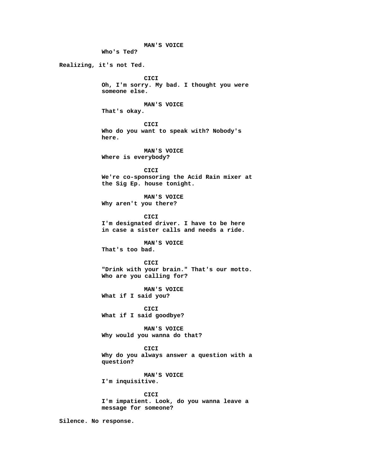**MAN'S VOICE Who's Ted? Realizing, it's not Ted. CICI Oh, I'm sorry. My bad. I thought you were someone else. MAN'S VOICE That's okay. CICI Who do you want to speak with? Nobody's here. MAN'S VOICE Where is everybody? CICI We're co-sponsoring the Acid Rain mixer at the Sig Ep. house tonight. MAN'S VOICE Why aren't you there? CICI I'm designated driver. I have to be here in case a sister calls and needs a ride. MAN'S VOICE That's too bad. CICI "Drink with your brain." That's our motto. Who are you calling for? MAN'S VOICE What if I said you? CICI What if I said goodbye? MAN'S VOICE Why would you wanna do that? CICI Why do you always answer a question with a question? MAN'S VOICE I'm inquisitive. CICI I'm impatient. Look, do you wanna leave a message for someone? Silence. No response.**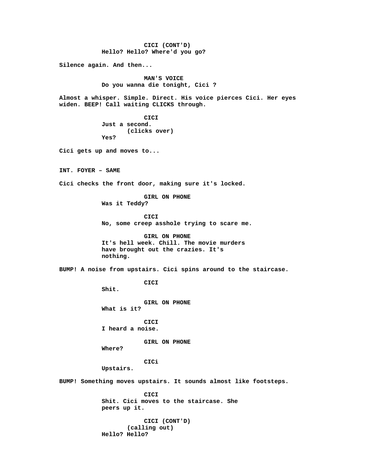**CICI (CONT'D) Hello? Hello? Where'd you go? Silence again. And then... MAN'S VOICE Do you wanna die tonight, Cici ? Almost a whisper. Simple. Direct. His voice pierces Cici. Her eyes widen. BEEP! Call waiting CLICKS through. CICI Just a second. (clicks over) Yes? Cici gets up and moves to... INT. FOYER – SAME Cici checks the front door, making sure it's locked. GIRL ON PHONE Was it Teddy? CICI No, some creep asshole trying to scare me. GIRL ON PHONE It's hell week. Chill. The movie murders have brought out the crazies. It's nothing. BUMP! A noise from upstairs. Cici spins around to the staircase. CICI Shit. GIRL ON PHONE What is it? CICI I heard a noise. GIRL ON PHONE Where? CICi Upstairs. BUMP! Something moves upstairs. It sounds almost like footsteps. CICI Shit. Cici moves to the staircase. She peers up it. CICI (CONT'D) (calling out) Hello? Hello?**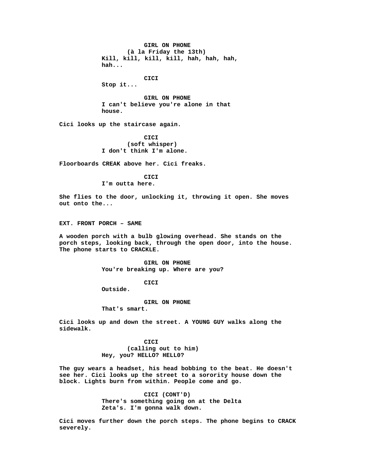**GIRL ON PHONE (à la Friday the 13th) Kill, kill, kill, kill, hah, hah, hah, hah...**

**CICI**

**Stop it...**

**GIRL ON PHONE I can't believe you're alone in that house.**

**Cici looks up the staircase again.**

**CICI (soft whisper) I don't think I'm alone.**

**Floorboards CREAK above her. Cici freaks.**

**CICI I'm outta here.**

**She flies to the door, unlocking it, throwing it open. She moves out onto the...**

**EXT. FRONT PORCH – SAME**

**A wooden porch with a bulb glowing overhead. She stands on the porch steps, looking back, through the open door, into the house. The phone starts to CRACKLE.**

> **GIRL ON PHONE You're breaking up. Where are you?**

> > **CICI**

**Outside.**

**GIRL ON PHONE**

**That's smart.**

**Cici looks up and down the street. A YOUNG GUY walks along the sidewalk.**

> **CICI (calling out to him) Hey, you? HELLO? HELL0?**

**The guy wears a headset, his head bobbing to the beat. He doesn't see her. Cici looks up the street to a sorority house down the block. Lights burn from within. People come and go.**

> **CICI (CONT'D) There's something going on at the Delta Zeta's. I'm gonna walk down.**

**Cici moves further down the porch steps. The phone begins to CRACK severely.**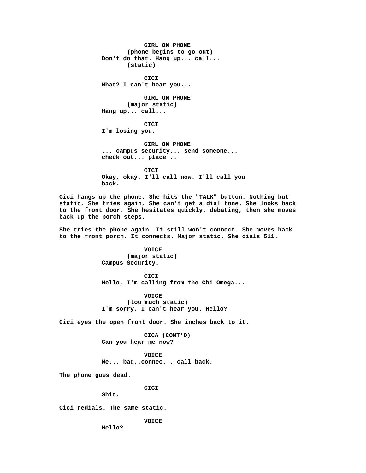**GIRL ON PHONE (phone begins to go out) Don't do that. Hang up... call... (static) CICI What? I can't hear you... GIRL ON PHONE (major static) Hang up... call... CICI I'm losing you. GIRL ON PHONE ... campus security... send someone... check out... place... CICI Okay, okay. I'll call now. I'll call you back. Cici hangs up the phone. She hits the "TALK" button. Nothing but static. She tries again. She can't get a dial tone. She looks back to the front door. She hesitates quickly, debating, then she moves back up the porch steps.**

**She tries the phone again. It still won't connect. She moves back to the front porch. It connects. Major static. She dials 511.**

> **VOICE (major static) Campus Security.**

**CICI Hello, I'm calling from the Chi Omega...**

**VOICE (too much static) I'm sorry. I can't hear you. Hello?**

**Cici eyes the open front door. She inches back to it.**

**CICA (CONT'D) Can you hear me now?**

**VOICE We... bad..connec... call back.**

**The phone goes dead.**

**CICI**

**Shit.**

**Cici redials. The same static.**

**VOICE**

**Hello?**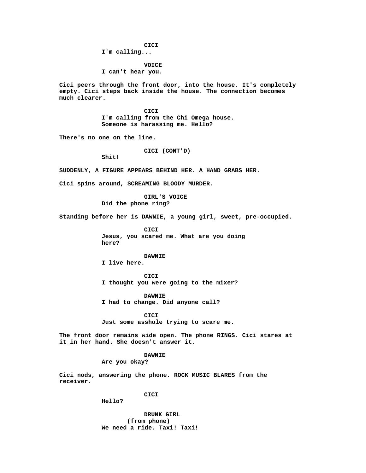**CICI**

**I'm calling...**

**VOICE I can't hear you.**

**Cici peers through the front door, into the house. It's completely empty. Cici steps back inside the house. The connection becomes much clearer.**

> **CICI I'm calling from the Chi Omega house. Someone is harassing me. Hello?**

**There's no one on the line.**

**CICI (CONT'D)**

**Shit!**

**SUDDENLY, A FIGURE APPEARS BEHIND HER. A HAND GRABS HER.**

**Cici spins around, SCREAMING BLOODY MURDER.**

**GIRL'S VOICE Did the phone ring?**

**Standing before her is DAWNIE, a young girl, sweet, pre-occupied.**

**CICI Jesus, you scared me. What are you doing here?**

**DAWNIE I live here.**

**CICI I thought you were going to the mixer?**

**DAWNIE I had to change. Did anyone call?**

**CICI Just some asshole trying to scare me.**

**The front door remains wide open. The phone RINGS. Cici stares at it in her hand. She doesn't answer it.**

**DAWNIE**

**Are you okay?**

**Cici nods, answering the phone. ROCK MUSIC BLARES from the receiver.**

**CICI**

**Hello?**

**DRUNK GIRL (from phone) We need a ride. Taxi! Taxi!**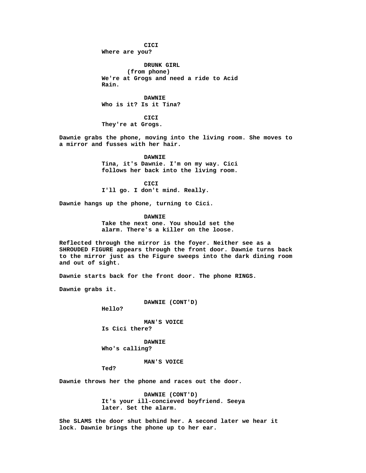**CICI Where are you? DRUNK GIRL**

**(from phone) We're at Grogs and need a ride to Acid Rain.**

**DAWNIE Who is it? Is it Tina?**

**CICI They're at Grogs.**

**Dawnie grabs the phone, moving into the living room. She moves to a mirror and fusses with her hair.**

> **DAWNIE Tina, it's Dawnie. I'm on my way. Cici follows her back into the living room.**

**CICI I'll go. I don't mind. Really.**

**Dawnie hangs up the phone, turning to Cici.**

**DAWNIE**

**Take the next one. You should set the alarm. There's a killer on the loose.**

**Reflected through the mirror is the foyer. Neither see as a SHROUDED FIGURE appears through the front door. Dawnie turns back to the mirror just as the Figure sweeps into the dark dining room and out of sight.**

**Dawnie starts back for the front door. The phone RINGS.**

**Dawnie grabs it.**

**DAWNIE (CONT'D)**

**Hello?**

**MAN'S VOICE Is Cici there?**

**DAWNIE Who's calling?**

**MAN'S VOICE**

**Ted?**

**Dawnie throws her the phone and races out the door.**

**DAWNIE (CONT'D) It's your ill-concieved boyfriend. Seeya later. Set the alarm.**

**She SLAMS the door shut behind her. A second later we hear it lock. Dawnie brings the phone up to her ear.**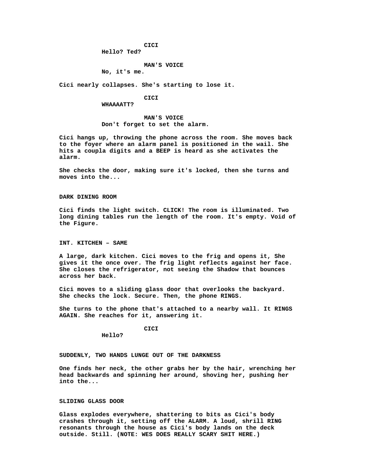**CICI**

**Hello? Ted?**

# **MAN'S VOICE**

**No, it's me.**

**Cici nearly collapses. She's starting to lose it.**

### **CICI**

#### **WHAAAATT?**

**MAN'S VOICE Don't forget to set the alarm.**

**Cici hangs up, throwing the phone across the room. She moves back to the foyer where an alarm panel is positioned in the wail. She hits a coupla digits and a BEEP is heard as she activates the alarm.**

**She checks the door, making sure it's locked, then she turns and moves into the...**

**DARK DINING ROOM**

**Cici finds the light switch. CLICK! The room is illuminated. Two long dining tables run the length of the room. It's empty. Void of the Figure.**

**INT. KITCHEN – SAME**

**A large, dark kitchen. Cici moves to the frig and opens it, She gives it the once over. The frig light reflects against her face. She closes the refrigerator, not seeing the Shadow that bounces across her back.**

**Cici moves to a sliding glass door that overlooks the backyard. She checks the lock. Secure. Then, the phone RINGS.**

**She turns to the phone that's attached to a nearby wall. It RINGS AGAIN. She reaches for it, answering it.**

**CICI**

**Hello?**

**SUDDENLY, TWO HANDS LUNGE OUT OF THE DARKNESS**

**One finds her neck, the other grabs her by the hair, wrenching her head backwards and spinning her around, shoving her, pushing her into the...**

# **SLIDING GLASS DOOR**

**Glass explodes everywhere, shattering to bits as Cici's body crashes through it, setting off the ALARM. A loud, shrill RING resonants through the house as Cici's body lands on the deck outside. Still. (NOTE: WES DOES REALLY SCARY SHIT HERE.)**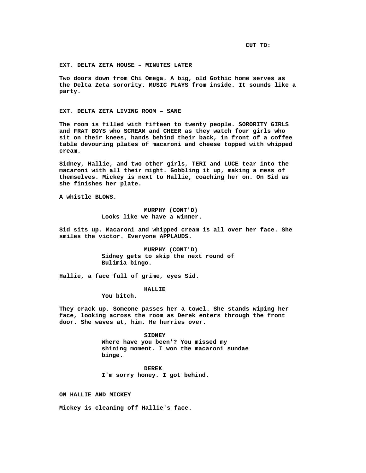**CUT TO:**

### **EXT. DELTA ZETA HOUSE – MINUTES LATER**

**Two doors down from Chi Omega. A big, old Gothic home serves as the Delta Zeta sorority. MUSIC PLAYS from inside. It sounds like a party.**

**EXT. DELTA ZETA LIVING ROOM – SANE**

**The room is filled with fifteen to twenty people. SORORITY GIRLS and FRAT BOYS who SCREAM and CHEER as they watch four girls who sit on their knees, hands behind their back, in front of a coffee table devouring plates of macaroni and cheese topped with whipped cream.**

**Sidney, Hallie, and two other girls, TERI and LUCE tear into the macaroni with all their might. Gobbling it up, making a mess of themselves. Mickey is next to Hallie, coaching her on. On Sid as she finishes her plate.**

**A whistle BLOWS.**

**MURPHY (CONT'D) Looks like we have a winner.**

**Sid sits up. Macaroni and whipped cream is all over her face. She smiles the victor. Everyone APPLAUDS.**

> **MURPHY (CONT'D) Sidney gets to skip the next round of Bulimia bingo.**

**Hallie, a face full of grime, eyes Sid.**

**HALLIE**

**You bitch.**

**They crack up. Someone passes her a towel. She stands wiping her face, looking across the room as Derek enters through the front door. She waves at, him. He hurries over.**

> **SIDNEY Where have you been'? You missed my shining moment. I won the macaroni sundae binge.**

**DEREK I'm sorry honey. I got behind.**

**ON HALLIE AND MICKEY**

**Mickey is cleaning off Hallie's face.**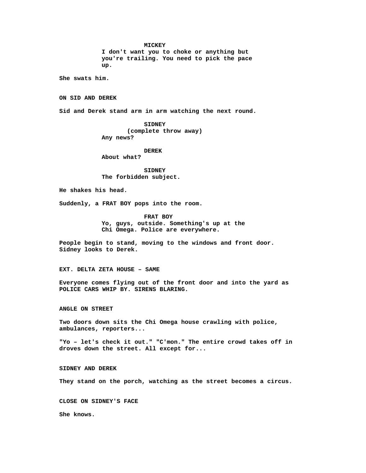**MICKEY**

**I don't want you to choke or anything but you're trailing. You need to pick the pace up.**

**She swats him.**

**ON SID AND DEREK**

**Sid and Derek stand arm in arm watching the next round.**

**SIDNEY (complete throw away) Any news?**

**DEREK**

**About what?**

**SIDNEY The forbidden subject.**

**He shakes his head.**

**Suddenly, a FRAT BOY pops into the room.**

**FRAT BOY Yo, guys, outside. Something's up at the Chi Omega. Police are everywhere.**

**People begin to stand, moving to the windows and front door. Sidney looks to Derek.**

## **EXT. DELTA ZETA HOUSE – SAME**

**Everyone comes flying out of the front door and into the yard as POLICE CARS WHIP BY. SIRENS BLARING.**

**ANGLE ON STREET**

**Two doors down sits the Chi Omega house crawling with police, ambulances, reporters...**

**"Yo – let's check it out." "C'mon." The entire crowd takes off in droves down the street. All except for...**

**SIDNEY AND DEREK**

**They stand on the porch, watching as the street becomes a circus.**

**CLOSE ON SIDNEY'S FACE**

**She knows.**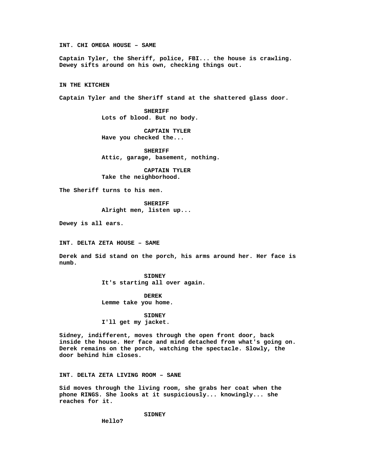**INT. CHI OMEGA HOUSE – SAME**

**Captain Tyler, the Sheriff, police, FBI... the house is crawling. Dewey sifts around on his own, checking things out.**

**IN THE KITCHEN**

**Captain Tyler and the Sheriff stand at the shattered glass door.**

**SHERIFF Lots of blood. But no body.**

**CAPTAIN TYLER Have you checked the...**

**SHERIFF Attic, garage, basement, nothing.**

**CAPTAIN TYLER Take the neighborhood.**

**The Sheriff turns to his men.**

**SHERIFF Alright men, listen up...**

**Dewey is all ears.**

**INT. DELTA ZETA HOUSE – SAME**

**Derek and Sid stand on the porch, his arms around her. Her face is numb.**

> **SIDNEY It's starting all over again.**

**DEREK Lemme take you home.**

**SIDNEY I'll get my jacket.**

**Sidney, indifferent, moves through the open front door, back inside the house. Her face and mind detached from what's going on. Derek remains on the porch, watching the spectacle. Slowly, the door behind him closes.**

**INT. DELTA ZETA LIVING ROOM – SANE**

**Sid moves through the living room, she grabs her coat when the phone RINGS. She looks at it suspiciously... knowingly... she reaches for it.**

**SIDNEY**

**Hello?**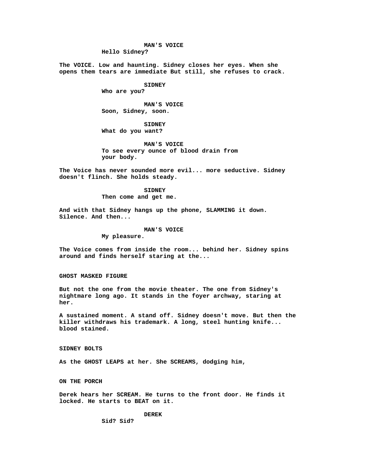#### **MAN'S VOICE**

**Hello Sidney?**

**The VOICE. Low and haunting. Sidney closes her eyes. When she opens them tears are immediate But still, she refuses to crack.**

# **SIDNEY**

**Who are you?**

**MAN'S VOICE Soon, Sidney, soon.**

**SIDNEY What do you want?**

**MAN'S VOICE To see every ounce of blood drain from your body.**

**The Voice has never sounded more evil... more seductive. Sidney doesn't flinch. She holds steady.**

> **SIDNEY Then come and get me.**

**And with that Sidney hangs up the phone, SLAMMING it down. Silence. And then...**

#### **MAN'S VOICE**

**My pleasure.**

**The Voice comes from inside the room... behind her. Sidney spins around and finds herself staring at the...**

**GHOST MASKED FIGURE**

**But not the one from the movie theater. The one from Sidney's nightmare long ago. It stands in the foyer archway, staring at her.**

**A sustained moment. A stand off. Sidney doesn't move. But then the killer withdraws his trademark. A long, steel hunting knife... blood stained.**

**SIDNEY BOLTS**

**As the GHOST LEAPS at her. She SCREAMS, dodging him,**

**ON THE PORCH**

**Derek hears her SCREAM. He turns to the front door. He finds it locked. He starts to BEAT on it.**

**DEREK**

**Sid? Sid?**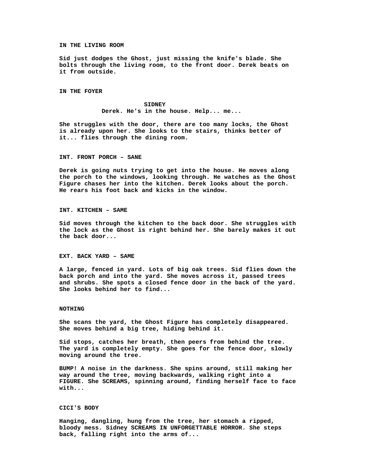#### **IN THE LIVING ROOM**

**Sid just dodges the Ghost, just missing the knife's blade. She bolts through the living room, to the front door. Derek beats on it from outside.**

**IN THE FOYER**

**SIDNEY Derek. He's in the house. Help... me...**

**She struggles with the door, there are too many locks, the Ghost is already upon her. She looks to the stairs, thinks better of it... flies through the dining room.**

#### **INT. FRONT PORCH – SANE**

**Derek is going nuts trying to get into the house. He moves along the porch to the windows, looking through. He watches as the Ghost Figure chases her into the kitchen. Derek looks about the porch. He rears his foot back and kicks in the window.**

**INT. KITCHEN – SAME**

**Sid moves through the kitchen to the back door. She struggles with the lock as the Ghost is right behind her. She barely makes it out the back door...**

### **EXT. BACK YARD – SAME**

**A large, fenced in yard. Lots of big oak trees. Sid flies down the back porch and into the yard. She moves across it, passed trees and shrubs. She spots a closed fence door in the back of the yard. She looks behind her to find...**

### **NOTHING**

**She scans the yard, the Ghost Figure has completely disappeared. She moves behind a big tree, hiding behind it.**

**Sid stops, catches her breath, then peers from behind the tree. The yard is completely empty. She goes for the fence door, slowly moving around the tree.**

**BUMP! A noise in the darkness. She spins around, still making her way around the tree, moving backwards, walking right into a FIGURE. She SCREAMS, spinning around, finding herself face to face with...**

#### **CICI'S BODY**

**Hanging, dangling, hung from the tree, her stomach a ripped, bloody mess. Sidney SCREAMS IN UNFORGETTABLE HORROR. She steps back, falling right into the arms of...**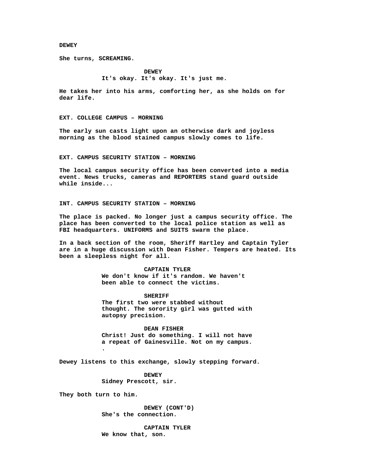#### **DEWEY**

**She turns, SCREAMING.**

**DEWEY It's okay. It's okay. It's just me.**

**He takes her into his arms, comforting her, as she holds on for dear life.**

**EXT. COLLEGE CAMPUS – MORNING**

**The early sun casts light upon an otherwise dark and joyless morning as the blood stained campus slowly comes to life.**

**EXT. CAMPUS SECURITY STATION – MORNING**

**The local campus security office has been converted into a media event. News trucks, cameras and REPORTERS stand guard outside while inside...**

**INT. CAMPUS SECURITY STATION – MORNING**

**The place is packed. No longer just a campus security office. The place has been converted to the local police station as well as FBI headquarters. UNIFORMS and SUITS swarm the place.**

**In a back section of the room, Sheriff Hartley and Captain Tyler are in a huge discussion with Dean Fisher. Tempers are heated. Its been a sleepless night for all.**

> **CAPTAIN TYLER We don't know if it's random. We haven't been able to connect the victims.**

**SHERIFF The first two were stabbed without thought. The sorority girl was gutted with**

**DEAN FISHER Christ! Just do something. I will not have a repeat of Gainesville. Not on my campus. .**

**Dewey listens to this exchange, slowly stepping forward.**

**DEWEY Sidney Prescott, sir.**

**autopsy precision.**

**They both turn to him.**

**DEWEY (CONT'D) She's the connection.**

**CAPTAIN TYLER We know that, son.**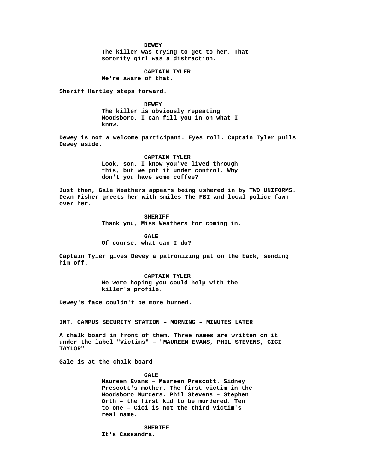**DEWEY The killer was trying to get to her. That sorority girl was a distraction.**

**CAPTAIN TYLER**

**We're aware of that.**

**Sheriff Hartley steps forward.**

**DEWEY The killer is obviously repeating Woodsboro. I can fill you in on what I know.**

**Dewey is not a welcome participant. Eyes roll. Captain Tyler pulls Dewey aside.**

> **CAPTAIN TYLER Look, son. I know you've lived through this, but we got it under control. Why don't you have some coffee?**

**Just then, Gale Weathers appears being ushered in by TWO UNIFORMS. Dean Fisher greets her with smiles The FBI and local police fawn over her.**

> **SHERIFF Thank you, Miss Weathers for coming in.**

**GALE Of course, what can I do?**

**Captain Tyler gives Dewey a patronizing pat on the back, sending him off.**

> **CAPTAIN TYLER We were hoping you could help with the killer's profile.**

**Dewey's face couldn't be more burned.**

**INT. CAMPUS SECURITY STATION – MORNING – MINUTES LATER**

**A chalk board in front of them. Three names are written on it under the label "Victims" – "MAUREEN EVANS, PHIL STEVENS, CICI TAYLOR"**

**Gale is at the chalk board**

**GALE**

**Maureen Evans – Maureen Prescott. Sidney Prescott's mother. The first victim in the Woodsboro Murders. Phil Stevens – Stephen Orth – the first kid to be murdered. Ten to one – Cici is not the third victim's real name.**

**SHERIFF It's Cassandra.**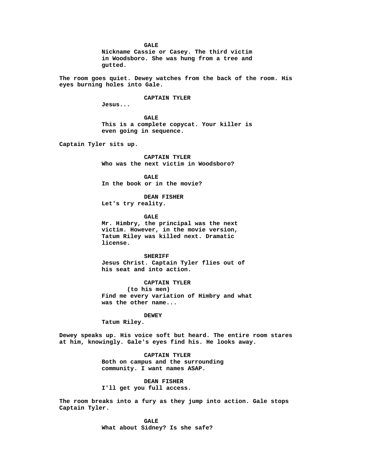**GALE Nickname Cassie or Casey. The third victim in Woodsboro. She was hung from a tree and gutted.**

**The room goes quiet. Dewey watches from the back of the room. His eyes burning holes into Gale.**

**CAPTAIN TYLER**

**Jesus...**

**GALE This is a complete copycat. Your killer is even going in sequence.**

**Captain Tyler sits up.**

**CAPTAIN TYLER Who was the next victim in Woodsboro?**

**GALE In the book or in the movie?**

**DEAN FISHER Let's try reality.**

**GALE**

**Mr. Himbry, the principal was the next victim. However, in the movie version, Tatum Riley was killed next. Dramatic license.**

**SHERIFF Jesus Christ. Captain Tyler flies out of his seat and into action.**

**CAPTAIN TYLER (to his men) Find me every variation of Himbry and what was the other name...**

# **DEWEY**

**Tatum Riley.**

**Dewey speaks up. His voice soft but heard. The entire room stares at him, knowingly. Gale's eyes find his. He looks away.**

> **CAPTAIN TYLER Both on campus and the surrounding community. I want names ASAP.**

**DEAN FISHER I'll get you full access.**

**The room breaks into a fury as they jump into action. Gale stops Captain Tyler.**

> **GALE What about Sidney? Is she safe?**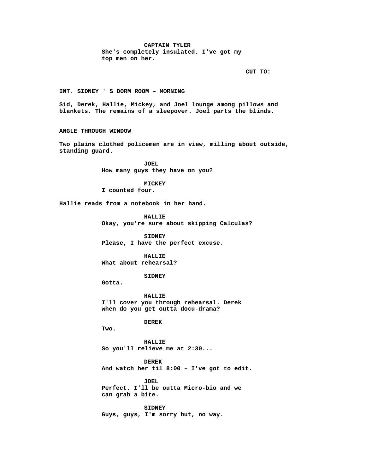# **CAPTAIN TYLER She's completely insulated. I've got my top men on her.**

**CUT TO:**

**INT. SIDNEY ' S DORM ROOM – MORNING**

**Sid, Derek, Hallie, Mickey, and Joel lounge among pillows and blankets. The remains of a sleepover. Joel parts the blinds.**

**ANGLE THROUGH WINDOW**

**Two plains clothed policemen are in view, milling about outside, standing guard.**

> **JOEL How many guys they have on you?**

> > **MICKEY**

**I counted four.**

**Hallie reads from a notebook in her hand.**

**HALLIE Okay, you're sure about skipping Calculas?**

**SIDNEY Please, I have the perfect excuse.**

**HALLIE What about rehearsal?**

**SIDNEY**

**Gotta.**

**HALLIE I'll cover you through rehearsal. Derek when do you get outta docu-drama?**

**DEREK**

**Two.**

**HALLIE So you'll relieve me at 2:30...**

**DEREK And watch her til 8:00 – I've got to edit.**

**JOEL Perfect. I'll be outta Micro-bio and we can grab a bite.**

**SIDNEY Guys, guys, I'm sorry but, no way.**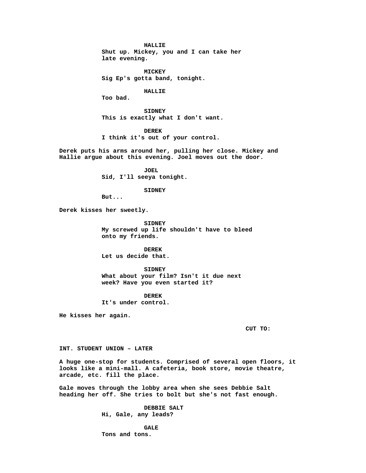**HALLIE**

**Shut up. Mickey, you and I can take her late evening.**

**MICKEY Sig Ep's gotta band, tonight.**

**HALLIE**

**Too bad.**

**SIDNEY This is exactly what I don't want.**

**DEREK I think it's out of your control.**

**Derek puts his arms around her, pulling her close. Mickey and Hallie argue about this evening. Joel moves out the door.**

> **JOEL Sid, I'll seeya tonight.**

> > **SIDNEY**

**But...**

**Derek kisses her sweetly.**

**SIDNEY My screwed up life shouldn't have to bleed onto my friends.**

**DEREK Let us decide that.**

**SIDNEY What about your film? Isn't it due next week? Have you even started it?**

**DEREK It's under control.**

**He kisses her again.**

**CUT TO:**

**INT. STUDENT UNION – LATER**

**A huge one-stop for students. Comprised of several open floors, it looks like a mini-mall. A cafeteria, book store, movie theatre, arcade, etc. fill the place.**

**Gale moves through the lobby area when she sees Debbie Salt heading her off. She tries to bolt but she's not fast enough.**

> **DEBBIE SALT Hi, Gale, any leads?**

**GALE Tons and tons.**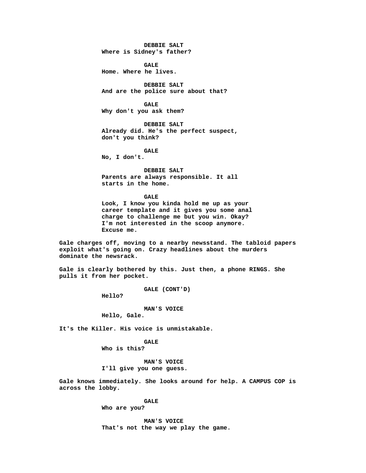**DEBBIE SALT Where is Sidney's father?**

**GALE Home. Where he lives.**

**DEBBIE SALT And are the police sure about that?**

**GALE Why don't you ask them?**

**DEBBIE SALT Already did. He's the perfect suspect, don't you think?**

**GALE**

**No, I don't.**

**DEBBIE SALT Parents are always responsible. It all starts in the home.**

**GALE Look, I know you kinda hold me up as your career template and it gives you some anal charge to challenge me but you win. Okay? I'm not interested in the scoop anymore. Excuse me.**

**Gale charges off, moving to a nearby newsstand. The tabloid papers exploit what's going on. Crazy headlines about the murders dominate the newsrack.**

**Gale is clearly bothered by this. Just then, a phone RINGS. She pulls it from her pocket.**

**GALE (CONT'D)**

**Hello?**

**MAN'S VOICE**

**Hello, Gale.**

**It's the Killer. His voice is unmistakable.**

**GALE Who is this?**

**MAN'S VOICE I'll give you one guess.**

**Gale knows immediately. She looks around for help. A CAMPUS COP is across the lobby.**

**GALE**

**Who are you?**

**MAN'S VOICE That's not the way we play the game.**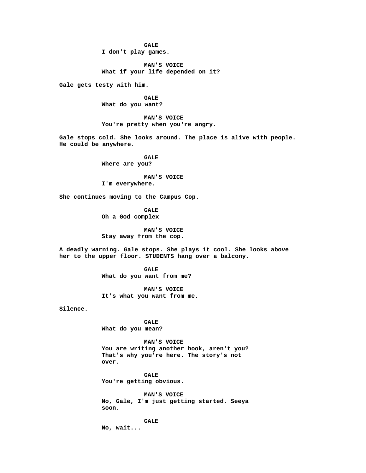**GALE I don't play games.**

**MAN'S VOICE What if your life depended on it?**

**Gale gets testy with him.**

**GALE What do you want?**

**MAN'S VOICE You're pretty when you're angry.**

**Gale stops cold. She looks around. The place is alive with people. He could be anywhere.**

> **GALE Where are you?**

**MAN'S VOICE I'm everywhere.**

**She continues moving to the Campus Cop.**

**GALE Oh a God complex**

**MAN'S VOICE Stay away from the cop.**

**A deadly warning. Gale stops. She plays it cool. She looks above her to the upper floor. STUDENTS hang over a balcony.**

> **GALE What do you want from me?**

**MAN'S VOICE It's what you want from me.**

**Silence.**

**GALE What do you mean?**

**MAN'S VOICE You are writing another book, aren't you? That's why you're here. The story's not over.**

**GALE You're getting obvious.**

**MAN'S VOICE No, Gale, I'm just getting started. Seeya soon.**

**GALE**

**No, wait...**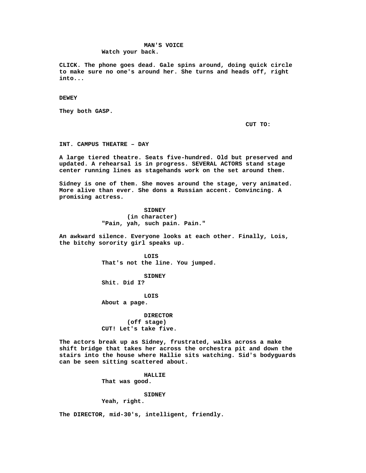# **MAN'S VOICE Watch your back.**

**CLICK. The phone goes dead. Gale spins around, doing quick circle to make sure no one's around her. She turns and heads off, right into...**

**DEWEY**

**They both GASP.**

**CUT TO:**

**INT. CAMPUS THEATRE – DAY**

**A large tiered theatre. Seats five-hundred. Old but preserved and updated. A rehearsal is in progress. SEVERAL ACTORS stand stage center running lines as stagehands work on the set around them.**

**Sidney is one of them. She moves around the stage, very animated. More alive than ever. She dons a Russian accent. Convincing. A promising actress.**

> **SIDNEY (in character) "Pain, yah, such pain. Pain."**

**An awkward silence. Everyone looks at each other. Finally, Lois, the bitchy sorority girl speaks up.**

> **LOIS That's not the line. You jumped.**

**SIDNEY Shit. Did I?**

**LOIS About a page.**

**DIRECTOR (off stage) CUT! Let's take five.**

**The actors break up as Sidney, frustrated, walks across a make shift bridge that takes her across the orchestra pit and down the stairs into the house where Hallie sits watching. Sid's bodyguards can be seen sitting scattered about.**

> **HALLIE That was good.**

# **SIDNEY**

**Yeah, right.**

**The DIRECTOR, mid-30's, intelligent, friendly.**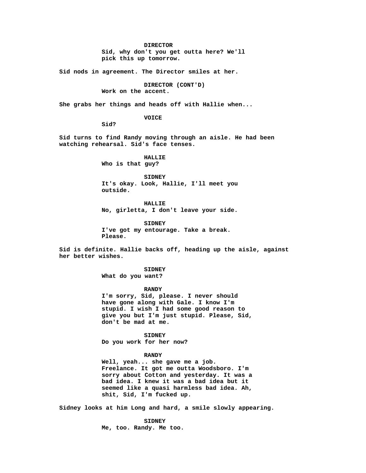**DIRECTOR**

**Sid, why don't you get outta here? We'll pick this up tomorrow.**

**Sid nods in agreement. The Director smiles at her.**

**DIRECTOR (CONT'D) Work on the accent.**

**She grabs her things and heads off with Hallie when...**

#### **VOICE**

**Sid?**

**Sid turns to find Randy moving through an aisle. He had been watching rehearsal. Sid's face tenses.**

> **HALLIE Who is that guy?**

**SIDNEY It's okay. Look, Hallie, I'll meet you outside.**

**HALLIE No, girletta, I don't leave your side.**

**SIDNEY I've got my entourage. Take a break. Please.**

**Sid is definite. Hallie backs off, heading up the aisle, against her better wishes.**

> **SIDNEY What do you want?**

**RANDY I'm sorry, Sid, please. I never should have gone along with Gale. I know I'm stupid. I wish I had some good reason to give you but I'm just stupid. Please, Sid, don't be mad at me.**

**SIDNEY Do you work for her now?**

### **RANDY**

**Well, yeah... she gave me a job. Freelance. It got me outta Woodsboro. I'm sorry about Cotton and yesterday. It was a bad idea. I knew it was a bad idea but it seemed like a quasi harmless bad idea. Ah, shit, Sid, I'm fucked up.**

**Sidney looks at him Long and hard, a smile slowly appearing.**

**SIDNEY Me, too. Randy. Me too.**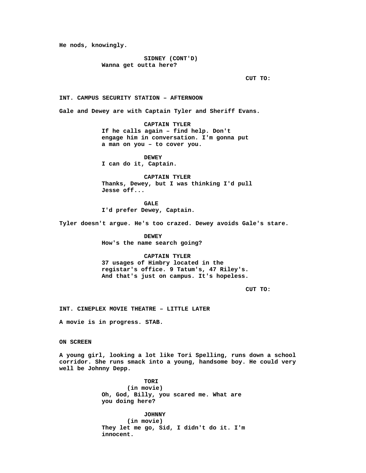**He nods, knowingly.**

**SIDNEY (CONT'D) Wanna get outta here?**

**CUT TO:**

**INT. CAMPUS SECURITY STATION – AFTERNOON**

**Gale and Dewey are with Captain Tyler and Sheriff Evans.**

**CAPTAIN TYLER If he calls again – find help. Don't engage him in conversation. I'm gonna put a man on you – to cover you.**

**DEWEY I can do it, Captain.**

**CAPTAIN TYLER Thanks, Dewey, but I was thinking I'd pull Jesse off...**

**GALE I'd prefer Dewey, Captain.**

**Tyler doesn't argue. He's too crazed. Dewey avoids Gale's stare.**

**DEWEY How's the name search going?**

**CAPTAIN TYLER**

**37 usages of Himbry located in the registar's office. 9 Tatum's, 47 Riley's. And that's just on campus. It's hopeless.**

**CUT TO:**

**INT. CINEPLEX MOVIE THEATRE – LITTLE LATER**

**A movie is in progress. STAB.**

**ON SCREEN**

**A young girl, looking a lot like Tori Spelling, runs down a school corridor. She runs smack into a young, handsome boy. He could very well be Johnny Depp.**

> **TORI (in movie) Oh, God, Billy, you scared me. What are you doing here?**

**JOHNNY (in movie) They let me go, Sid, I didn't do it. I'm innocent.**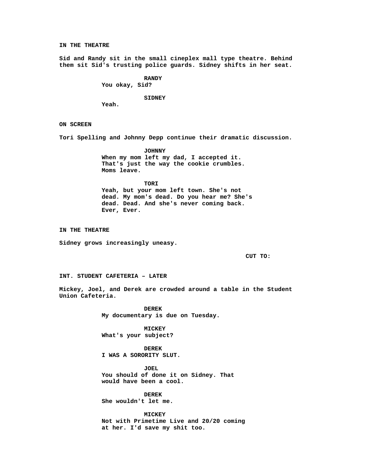**IN THE THEATRE**

**Sid and Randy sit in the small cineplex mall type theatre. Behind them sit Sid's trusting police guards. Sidney shifts in her seat.**

**RANDY**

**You okay, Sid?**

**SIDNEY**

**Yeah.**

**ON SCREEN**

**Tori Spelling and Johnny Depp continue their dramatic discussion.**

**JOHNNY When my mom left my dad, I accepted it. That's just the way the cookie crumbles. Moms leave.**

**TORI Yeah, but your mom left town. She's not dead. My mom's dead. Do you hear me? She's dead. Dead. And she's never coming back. Ever, Ever.**

**IN THE THEATRE**

**Sidney grows increasingly uneasy.**

**CUT TO:**

**INT. STUDENT CAFETERIA – LATER**

**Mickey, Joel, and Derek are crowded around a table in the Student Union Cafeteria.**

> **DEREK My documentary is due on Tuesday.**

**MICKEY What's your subject?**

**DEREK I WAS A SORORITY SLUT.**

**JOEL You should of done it on Sidney. That would have been a cool.**

**DEREK She wouldn't let me.**

**MICKEY Not with Primetime Live and 20/20 coming at her. I'd save my shit too.**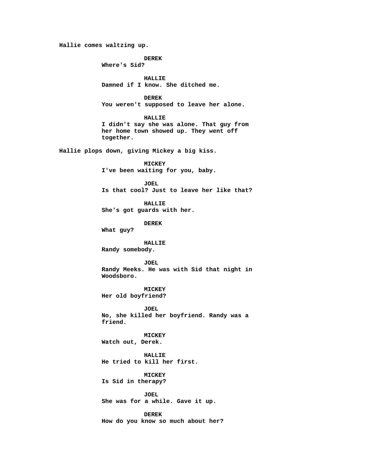**Hallie comes waltzing up.**

**DEREK**

**Where's Sid?**

**HALLIE Damned if I know. She ditched me.**

**DEREK You weren't supposed to leave her alone.**

**HALLIE**

**I didn't say she was alone. That guy from her home town showed up. They went off together.**

**Hallie plops down, giving Mickey a big kiss.**

**MICKEY I've been waiting for you, baby.**

**JOEL Is that cool? Just to leave her like that?**

**HALLIE She's got guards with her.**

**DEREK**

**What guy?**

**HALLIE**

**Randy somebody.**

### **JOEL**

**Randy Meeks. He was with Sid that night in Woodsboro.**

**MICKEY Her old boyfriend?**

**JOEL No, she killed her boyfriend. Randy was a friend.**

**MICKEY Watch out, Derek.**

**HALLIE He tried to kill her first.**

**MICKEY Is Sid in therapy?**

**JOEL She was for a while. Gave it up.**

**DEREK How do you know so much about her?**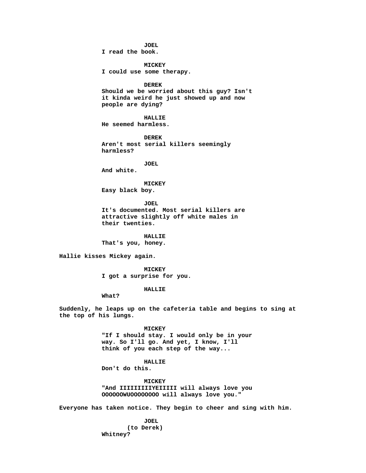**JOEL**

**I read the book.**

**MICKEY I could use some therapy.**

**DEREK Should we be worried about this guy? Isn't it kinda weird he just showed up and now people are dying?**

**HALLIE He seemed harmless.**

**DEREK Aren't most serial killers seemingly harmless?**

**JOEL**

**And white.**

**MICKEY**

**Easy black boy.**

**JOEL It's documented. Most serial killers are attractive slightly off white males in their twenties.**

**HALLIE That's you, honey.**

**Hallie kisses Mickey again.**

**MICKEY I got a surprise for you.**

**HALLIE**

**What?**

**Suddenly, he leaps up on the cafeteria table and begins to sing at the top of his lungs.**

> **MICKEY "If I should stay. I would only be in your way. So I'll go. And yet, I know, I'll think of you each step of the way...**

> > **HALLIE**

**Don't do this.**

**MICKEY "And IIIIIIIIIYEIIIII will always love you OOOOOOWUOOOOOOOO will always love you."**

**Everyone has taken notice. They begin to cheer and sing with him.**

**JOEL (to Derek) Whitney?**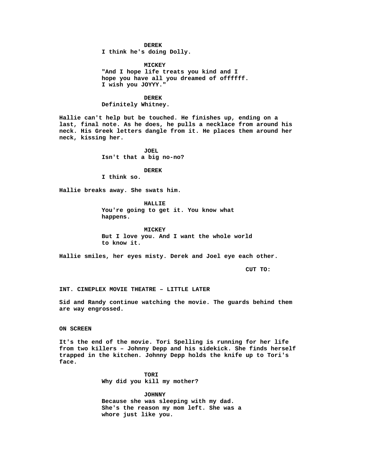**DEREK**

**I think he's doing Dolly.**

**MICKEY "And I hope life treats you kind and I hope you have all you dreamed of offffff. I wish you JOYYY."**

**DEREK Definitely Whitney.**

**Hallie can't help but be touched. He finishes up, ending on a last, final note. As he does, he pulls a necklace from around his neck. His Greek letters dangle from it. He places them around her neck, kissing her.**

> **JOEL Isn't that a big no-no?**

> > **DEREK**

**I think so.**

**Hallie breaks away. She swats him.**

**HALLIE You're going to get it. You know what happens.**

**MICKEY But I love you. And I want the whole world to know it.**

**Hallie smiles, her eyes misty. Derek and Joel eye each other.**

**CUT TO:**

**INT. CINEPLEX MOVIE THEATRE – LITTLE LATER**

**Sid and Randy continue watching the movie. The guards behind them are way engrossed.**

**ON SCREEN**

**It's the end of the movie. Tori Spelling is running for her life from two killers – Johnny Depp and his sidekick. She finds herself trapped in the kitchen. Johnny Depp holds the knife up to Tori's face.**

> **TORI Why did you kill my mother?**

**JOHNNY Because she was sleeping with my dad. She's the reason my mom left. She was a whore just like you.**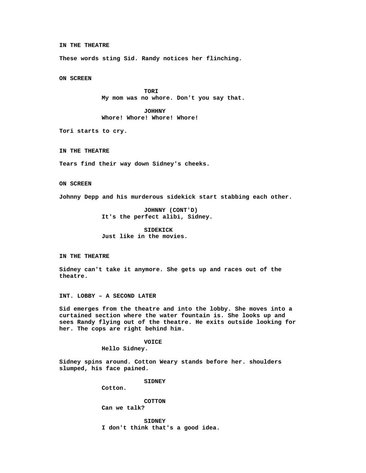**IN THE THEATRE**

**These words sting Sid. Randy notices her flinching.**

**ON SCREEN**

**TORI My mom was no whore. Don't you say that.**

**JOHHNY Whore! Whore! Whore! Whore!**

**Tori starts to cry.**

**IN THE THEATRE**

**Tears find their way down Sidney's cheeks.**

**ON SCREEN**

**Johnny Depp and his murderous sidekick start stabbing each other.**

**JOHNNY (CONT'D) It's the perfect alibi, Sidney.**

**SIDEKICK Just like in the movies.**

**IN THE THEATRE**

**Sidney can't take it anymore. She gets up and races out of the theatre.**

**INT. LOBBY – A SECOND LATER**

**Sid emerges from the theatre and into the lobby. She moves into a curtained section where the water fountain is. She looks up and sees Randy flying out of the theatre. He exits outside looking for her. The cops are right behind him.**

**VOICE**

**Hello Sidney.**

**Sidney spins around. Cotton Weary stands before her. shoulders slumped, his face pained.**

**SIDNEY**

**Cotton.**

**COTTON Can we talk?**

**SIDNEY I don't think that's a good idea.**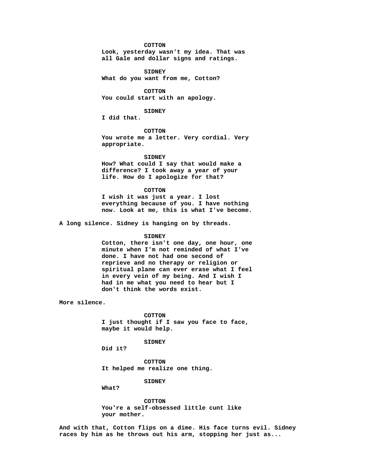#### **COTTON**

**Look, yesterday wasn't my idea. That was all Gale and dollar signs and ratings.**

**SIDNEY What do you want from me, Cotton?**

**COTTON You could start with an apology.**

# **SIDNEY**

**I did that.**

**COTTON You wrote me a letter. Very cordial. Very appropriate.**

**SIDNEY**

**How? What could I say that would make a difference? I took away a year of your life. How do I apologize for that?**

### **COTTON**

**I wish it was just a year. I lost everything because of you. I have nothing now. Look at me, this is what I've become.**

**A long silence. Sidney is hanging on by threads.**

#### **SIDNEY**

**Cotton, there isn't one day, one hour, one minute when I'm not reminded of what I've done. I have not had one second of reprieve and no therapy or religion or spiritual plane can ever erase what I feel in every vein of my being. And I wish I had in me what you need to hear but I don't think the words exist.**

**More silence.**

**COTTON I just thought if I saw you face to face, maybe it would help.**

# **SIDNEY**

**Did it?**

**COTTON It helped me realize one thing.**

# **SIDNEY**

**What?**

**COTTON You're a self-obsessed little cunt like your mother.**

**And with that, Cotton flips on a dime. His face turns evil. Sidney races by him as he throws out his arm, stopping her just as...**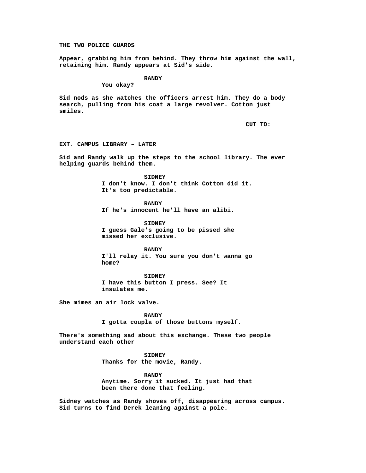**THE TWO POLICE GUARDS**

**Appear, grabbing him from behind. They throw him against the wall, retaining him. Randy appears at Sid's side.**

**RANDY**

**You okay?**

**Sid nods as she watches the officers arrest him. They do a body search, pulling from his coat a large revolver. Cotton just smiles.**

**CUT TO:**

**EXT. CAMPUS LIBRARY – LATER**

**Sid and Randy walk up the steps to the school library. The ever helping guards behind them.**

> **SIDNEY I don't know. I don't think Cotton did it. It's too predictable.**

**RANDY If he's innocent he'll have an alibi.**

**SIDNEY I guess Gale's going to be pissed she missed her exclusive.**

**RANDY I'll relay it. You sure you don't wanna go home?**

**SIDNEY I have this button I press. See? It insulates me.**

**She mimes an air lock valve.**

**RANDY I gotta coupla of those buttons myself.**

**There's something sad about this exchange. These two people understand each other**

> **SIDNEY Thanks for the movie, Randy.**

**RANDY Anytime. Sorry it sucked. It just had that been there done that feeling.**

**Sidney watches as Randy shoves off, disappearing across campus. Sid turns to find Derek leaning against a pole.**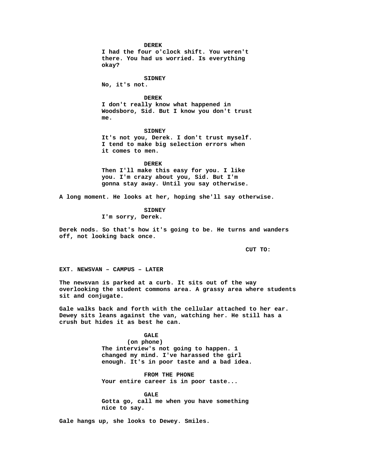**DEREK**

**I had the four o'clock shift. You weren't there. You had us worried. Is everything okay?**

**SIDNEY No, it's not.**

**DEREK I don't really know what happened in Woodsboro, Sid. But I know you don't trust me.**

**SIDNEY It's not you, Derek. I don't trust myself. I tend to make big selection errors when it comes to men.**

**DEREK Then I'll make this easy for you. I like you. I'm crazy about you, Sid. But I'm gonna stay away. Until you say otherwise.**

**A long moment. He looks at her, hoping she'll say otherwise.**

**SIDNEY I'm sorry, Derek.**

**Derek nods. So that's how it's going to be. He turns and wanders off, not looking back once.**

**CUT TO:**

**EXT. NEWSVAN – CAMPUS – LATER**

**The newsvan is parked at a curb. It sits out of the way overlooking the student commons area. A grassy area where students sit and conjugate.**

**Gale walks back and forth with the cellular attached to her ear. Dewey sits leans against the van, watching her. He still has a crush but hides it as best he can.**

> **GALE (on phone) The interview's not going to happen. 1 changed my mind. I've harassed the girl enough. It's in poor taste and a bad idea.**

**FROM THE PHONE Your entire career is in poor taste...**

**GALE Gotta go, call me when you have something nice to say.**

**Gale hangs up, she looks to Dewey. Smiles.**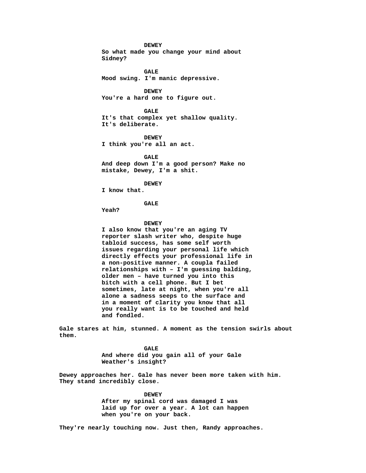**DEWEY**

**So what made you change your mind about Sidney?**

**GALE Mood swing. I'm manic depressive.**

**DEWEY You're a hard one to figure out.**

**GALE It's that complex yet shallow quality. It's deliberate.**

**DEWEY**

**I think you're all an act.**

**GALE And deep down I'm a good person? Make no mistake, Dewey, I'm a shit.**

**DEWEY**

**I know that.**

# **GALE**

**Yeah?**

### **DEWEY**

**I also know that you're an aging TV reporter slash writer who, despite huge tabloid success, has some self worth issues regarding your personal life which directly effects your professional life in a non-positive manner. A coupla failed relationships with – I'm guessing balding, older men – have turned you into this bitch with a cell phone. But I bet sometimes, late at night, when you're all alone a sadness seeps to the surface and in a moment of clarity you know that all you really want is to be touched and held and fondled.**

**Gale stares at him, stunned. A moment as the tension swirls about them.**

> **GALE And where did you gain all of your Gale Weather's insight?**

**Dewey approaches her. Gale has never been more taken with him. They stand incredibly close.**

> **DEWEY After my spinal cord was damaged I was laid up for over a year. A lot can happen when you're on your back.**

**They're nearly touching now. Just then, Randy approaches.**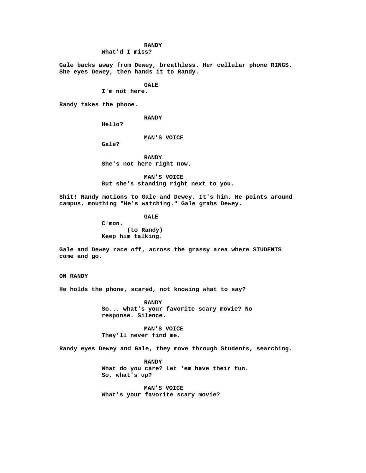# **RANDY**

**What'd I miss?**

**Gale backs away from Dewey, breathless. Her cellular phone RINGS. She eyes Dewey, then hands it to Randy.**

#### **GALE**

**I'm not here.**

**Randy takes the phone.**

**RANDY**

**Hello?**

# **MAN'S VOICE**

**Gale?**

**RANDY She's not here right now.**

**MAN'S VOICE But she's standing right next to you.**

**Shit! Randy motions to Gale and Dewey. It's him. He points around campus, mouthing "He's watching." Gale grabs Dewey.**

**GALE**

**C'mon. (to Randy) Keep him talking.**

**Gale and Dewey race off, across the grassy area where STUDENTS come and go.**

**ON RANDY**

**He holds the phone, scared, not knowing what to say?**

**RANDY So... what's your favorite scary movie? No response. Silence.**

**MAN'S VOICE They'll never find me.**

**Randy eyes Dewey and Gale, they move through Students, searching.**

**RANDY What do you care? Let 'em have their fun. So, what's up?**

**MAN'S VOICE What's your favorite scary movie?**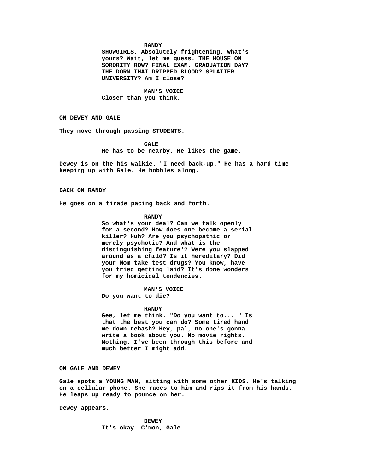#### **RANDY**

**SHOWGIRLS. Absolutely frightening. What's yours? Wait, let me guess. THE HOUSE ON SORORITY ROW? FINAL EXAM. GRADUATION DAY? THE DORM THAT DRIPPED BLOOD? SPLATTER UNIVERSITY? Am I close?**

**MAN'S VOICE Closer than you think.**

**ON DEWEY AND GALE**

**They move through passing STUDENTS.**

**GALE**

**He has to be nearby. He likes the game.**

**Dewey is on the his walkie. "I need back-up." He has a hard time keeping up with Gale. He hobbles along.**

**BACK ON RANDY**

**He goes on a tirade pacing back and forth.**

### **RANDY**

**So what's your deal? Can we talk openly for a second? How does one become a serial killer? Huh? Are you psychopathic or merely psychotic? And what is the distinguishing feature'? Were you slapped around as a child? Is it hereditary? Did your Mom take test drugs? You know, have you tried getting laid? It's done wonders for my homicidal tendencies.**

**MAN'S VOICE**

**Do you want to die?**

### **RANDY**

**Gee, let me think. "Do you want to... " Is that the best you can do? Some tired hand me down rehash? Hey, pal, no one's gonna write a book about you. No movie rights. Nothing. I've been through this before and much better I might add.**

**ON GALE AND DEWEY**

**Gale spots a YOUNG MAN, sitting with some other KIDS. He's talking on a cellular phone. She races to him and rips it from his hands. He leaps up ready to pounce on her.**

**Dewey appears.**

**DEWEY It's okay. C'mon, Gale.**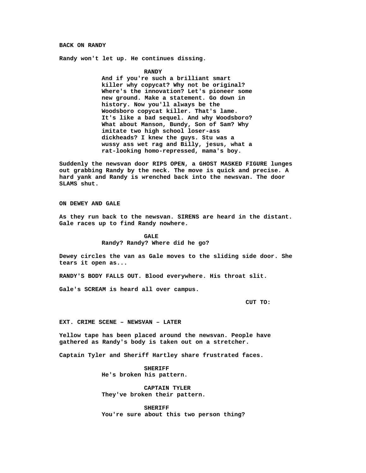#### **BACK ON RANDY**

**Randy won't let up. He continues dissing.**

### **RANDY**

**And if you're such a brilliant smart killer why copycat? Why not be original? Where's the innovation? Let's pioneer some new ground. Make a statement. Go down in history. Now you'll always be the Woodsboro copycat killer. That's lame. It's like a bad sequel. And why Woodsboro? What about Manson, Bundy, Son of Sam? Why imitate two high school loser-ass dickheads? I knew the guys. Stu was a wussy ass wet rag and Billy, jesus, what a rat-looking homo-repressed, mama's boy.**

**Suddenly the newsvan door RIPS OPEN, a GHOST MASKED FIGURE lunges out grabbing Randy by the neck. The move is quick and precise. A hard yank and Randy is wrenched back into the newsvan. The door SLAMS shut.**

### **ON DEWEY AND GALE**

**As they run back to the newsvan. SIRENS are heard in the distant. Gale races up to find Randy nowhere.**

> **GALE Randy? Randy? Where did he go?**

**Dewey circles the van as Gale moves to the sliding side door. She tears it open as...**

**RANDY'S BODY FALLS OUT. Blood everywhere. His throat slit.**

**Gale's SCREAM is heard all over campus.**

**CUT TO:**

#### **EXT. CRIME SCENE – NEWSVAN – LATER**

**Yellow tape has been placed around the newsvan. People have gathered as Randy's body is taken out on a stretcher.**

**Captain Tyler and Sheriff Hartley share frustrated faces.**

**SHERIFF He's broken his pattern.**

**CAPTAIN TYLER They've broken their pattern.**

**SHERIFF You're sure about this two person thing?**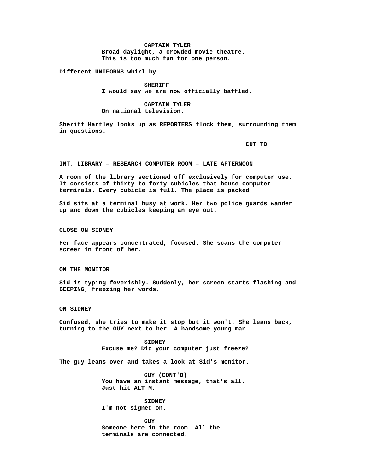# **CAPTAIN TYLER Broad daylight, a crowded movie theatre. This is too much fun for one person.**

**Different UNIFORMS whirl by.**

**SHERIFF I would say we are now officially baffled.**

**CAPTAIN TYLER On national television.**

**Sheriff Hartley looks up as REPORTERS flock them, surrounding them in questions.**

**CUT TO:**

**INT. LIBRARY – RESEARCH COMPUTER ROOM – LATE AFTERNOON**

**A room of the library sectioned off exclusively for computer use. It consists of thirty to forty cubicles that house computer terminals. Every cubicle is full. The place is packed.**

**Sid sits at a terminal busy at work. Her two police guards wander up and down the cubicles keeping an eye out.**

**CLOSE ON SIDNEY**

**Her face appears concentrated, focused. She scans the computer screen in front of her.**

**ON THE MONITOR**

**Sid is typing feverishly. Suddenly, her screen starts flashing and BEEPING, freezing her words.**

**ON SIDNEY**

**Confused, she tries to make it stop but it won't. She leans back, turning to the GUY next to her. A handsome young man.**

> **SIDNEY Excuse me? Did your computer just freeze?**

**The guy leans over and takes a look at Sid's monitor.**

**GUY (CONT'D) You have an instant message, that's all. Just hit ALT M.**

**SIDNEY I'm not signed on.**

**GUY Someone here in the room. All the terminals are connected.**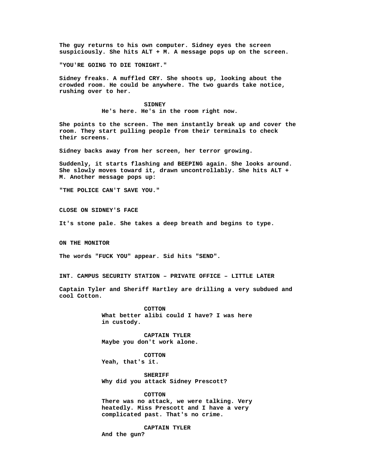**The guy returns to his own computer. Sidney eyes the screen suspiciously. She hits ALT + M. A message pops up on the screen.**

**"YOU'RE GOING TO DIE TONIGHT."**

**Sidney freaks. A muffled CRY. She shoots up, looking about the crowded room. He could be anywhere. The two guards take notice, rushing over to her.**

> **SIDNEY He's here. He's in the room right now.**

**She points to the screen. The men instantly break up and cover the room. They start pulling people from their terminals to check their screens.**

**Sidney backs away from her screen, her terror growing.**

**Suddenly, it starts flashing and BEEPING again. She looks around. She slowly moves toward it, drawn uncontrollably. She hits ALT + M. Another message pops up:**

**"THE POLICE CAN'T SAVE YOU."**

**CLOSE ON SIDNEY'S FACE**

**It's stone pale. She takes a deep breath and begins to type.**

**ON THE MONITOR**

**The words "FUCK YOU" appear. Sid hits "SEND".**

**INT. CAMPUS SECURITY STATION – PRIVATE OFFICE – LITTLE LATER**

**Captain Tyler and Sheriff Hartley are drilling a very subdued and cool Cotton.**

> **COTTON What better alibi could I have? I was here in custody.**

**CAPTAIN TYLER Maybe you don't work alone.**

**COTTON Yeah, that's it.**

**SHERIFF Why did you attack Sidney Prescott?**

**COTTON**

**There was no attack, we were talking. Very heatedly. Miss Prescott and I have a very complicated past. That's no crime.**

**CAPTAIN TYLER**

**And the gun?**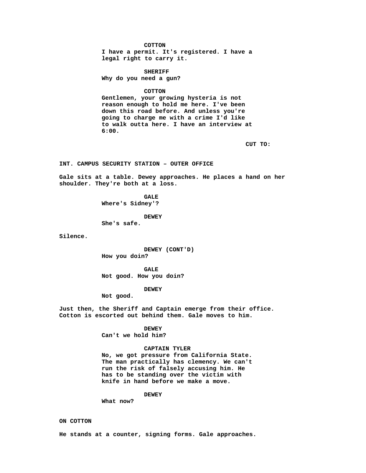**COTTON**

**I have a permit. It's registered. I have a legal right to carry it.**

**SHERIFF**

**Why do you need a gun?**

**COTTON**

**Gentlemen, your growing hysteria is not reason enough to hold me here. I've been down this road before. And unless you're going to charge me with a crime I'd like to walk outta here. I have an interview at 6:00.**

**CUT TO:**

**INT. CAMPUS SECURITY STATION – OUTER OFFICE**

**Gale sits at a table. Dewey approaches. He places a hand on her shoulder. They're both at a loss.**

> **GALE Where's Sidney'?**

> > **DEWEY**

**She's safe.**

**Silence.**

**DEWEY (CONT'D) How you doin?**

**GALE Not good. How you doin?**

**DEWEY**

**Not good.**

**Just then, the Sheriff and Captain emerge from their office. Cotton is escorted out behind them. Gale moves to him.**

> **DEWEY Can't we hold him?**

**CAPTAIN TYLER**

**No, we got pressure from California State. The man practically has clemency. We can't run the risk of falsely accusing him. He has to be standing over the victim with knife in hand before we make a move.**

**DEWEY**

**What now?**

**ON COTTON**

**He stands at a counter, signing forms. Gale approaches.**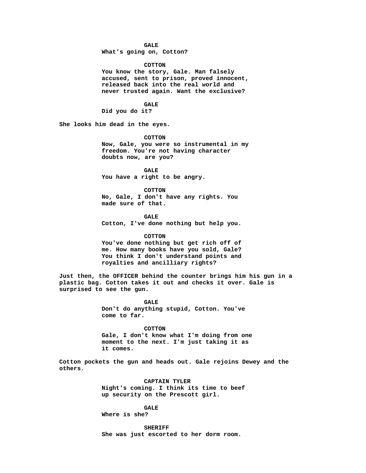### **GALE**

**What's going on, Cotton?**

### **COTTON**

**You know the story, Gale. Man falsely accused, sent to prison, proved innocent, released back into the real world and never trusted again. Want the exclusive?**

**GALE**

**Did you do it?**

**She looks him dead in the eyes.**

**COTTON**

**Now, Gale, you were so instrumental in my freedom. You're not having character doubts now, are you?**

**GALE You have a right to be angry.**

**COTTON No, Gale, I don't have any rights. You made sure of that.**

**GALE Cotton, I've done nothing but help you.**

#### **COTTON**

**You've done nothing but get rich off of me. How many books have you sold, Gale? You think I don't understand points and royalties and ancilliary rights?**

**Just then, the OFFICER behind the counter brings him his gun in a plastic bag. Cotton takes it out and checks it over. Gale is surprised to see the gun.**

> **GALE Don't do anything stupid, Cotton. You've come to far.**

**COTTON Gale, I don't know what I'm doing from one moment to the next. I'm just taking it as it comes.**

**Cotton pockets the gun and heads out. Gale rejoins Dewey and the others.**

> **CAPTAIN TYLER Night's coming. I think its time to beef up security on the Prescott girl.**

> > **GALE**

**Where is she?**

**SHERIFF She was just escorted to her dorm room.**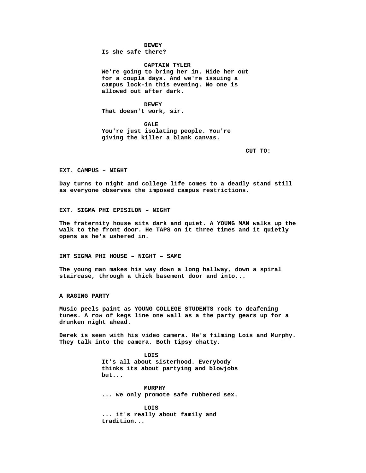**DEWEY**

**Is she safe there?**

**CAPTAIN TYLER We're going to bring her in. Hide her out for a coupla days. And we're issuing a campus lock-in this evening. No one is allowed out after dark.**

**DEWEY That doesn't work, sir.**

**GALE You're just isolating people. You're giving the killer a blank canvas.**

**CUT TO:**

**EXT. CAMPUS – NIGHT**

**Day turns to night and college life comes to a deadly stand still as everyone observes the imposed campus restrictions.**

**EXT. SIGMA PHI EPISILON – NIGHT**

**The fraternity house sits dark and quiet. A YOUNG MAN walks up the walk to the front door. He TAPS on it three times and it quietly opens as he's ushered in.**

**INT SIGMA PHI HOUSE – NIGHT – SAME**

**The young man makes his way down a long hallway, down a spiral staircase, through a thick basement door and into...**

**A RAGING PARTY**

**Music peels paint as YOUNG COLLEGE STUDENTS rock to deafening tunes. A row of kegs line one wall as a the party gears up for a drunken night ahead.**

**Derek is seen with his video camera. He's filming Lois and Murphy. They talk into the camera. Both tipsy chatty.**

> **LOIS It's all about sisterhood. Everybody thinks its about partying and blowjobs but...**

> **MURPHY ... we only promote safe rubbered sex.**

**LOIS ... it's really about family and tradition...**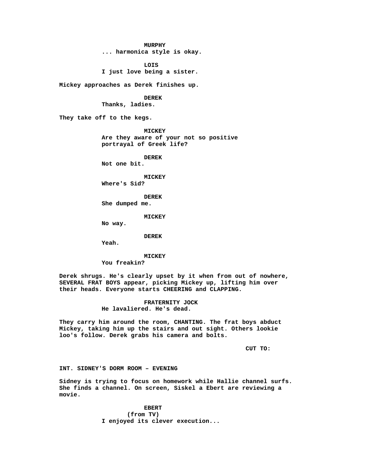**MURPHY**

**... harmonica style is okay.**

**LOIS I just love being a sister.**

**Mickey approaches as Derek finishes up.**

**DEREK**

**Thanks, ladies.**

**They take off to the kegs.**

**MICKEY Are they aware of your not so positive portrayal of Greek life?**

**DEREK**

**Not one bit.**

**MICKEY Where's Sid?**

**DEREK She dumped me.**

**MICKEY**

**No way.**

**DEREK**

**Yeah.**

**MICKEY**

**You freakin?**

**Derek shrugs. He's clearly upset by it when from out of nowhere, SEVERAL FRAT BOYS appear, picking Mickey up, lifting him over their heads. Everyone starts CHEERING and CLAPPING.**

> **FRATERNITY JOCK He lavaliered. He's dead.**

**They carry him around the room, CHANTING. The frat boys abduct Mickey, taking him up the stairs and out sight. Others lookie loo's follow. Derek grabs his camera and bolts.**

**CUT TO:**

**INT. SIDNEY'S DORM ROOM – EVENING**

**Sidney is trying to focus on homework while Hallie channel surfs. She finds a channel. On screen, Siskel a Ebert are reviewing a movie.**

> **EBERT (from TV) I enjoyed its clever execution...**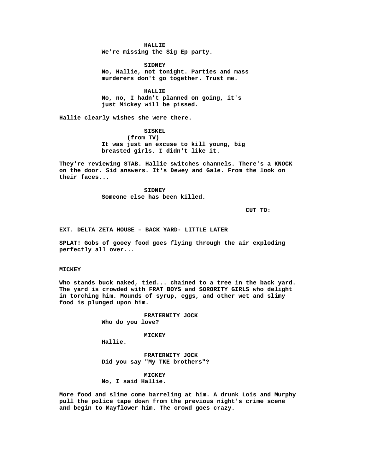#### **HALLIE**

**We're missing the Sig Ep party.**

**SIDNEY No, Hallie, not tonight. Parties and mass murderers don't go together. Trust me.**

**HALLIE No, no, I hadn't planned on going, it's just Mickey will be pissed.**

**Hallie clearly wishes she were there.**

**SISKEL**

**(from TV) It was just an excuse to kill young, big breasted girls. I didn't like it.**

**They're reviewing STAB. Hallie switches channels. There's a KNOCK on the door. Sid answers. It's Dewey and Gale. From the look on their faces...**

> **SIDNEY Someone else has been killed.**

> > **CUT TO:**

**EXT. DELTA ZETA HOUSE – BACK YARD- LITTLE LATER**

**SPLAT! Gobs of gooey food goes flying through the air exploding perfectly all over...**

# **MICKEY**

**Who stands buck naked, tied... chained to a tree in the back yard. The yard is crowded with FRAT BOYS and SORORITY GIRLS who delight in torching him. Mounds of syrup, eggs, and other wet and slimy food is plunged upon him.**

> **FRATERNITY JOCK Who do you love?**

> > **MICKEY**

**Hallie.**

**FRATERNITY JOCK Did you say "My TKE brothers"?**

**MICKEY No, I said Hallie.**

**More food and slime come barreling at him. A drunk Lois and Murphy pull the police tape down from the previous night's crime scene and begin to Mayflower him. The crowd goes crazy.**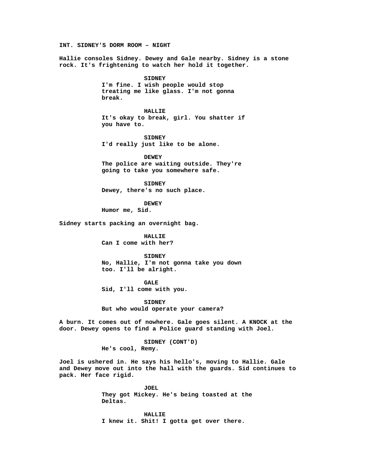**INT. SIDNEY'S DORM ROOM – NIGHT**

**Hallie consoles Sidney. Dewey and Gale nearby. Sidney is a stone rock. It's frightening to watch her hold it together.**

> **SIDNEY I'm fine. I wish people would stop treating me like glass. I'm not gonna break.**

**HALLIE It's okay to break, girl. You shatter if you have to.**

**SIDNEY I'd really just like to be alone.**

**DEWEY The police are waiting outside. They're going to take you somewhere safe.**

**SIDNEY Dewey, there's no such place.**

**DEWEY Humor me, Sid.**

**Sidney starts packing an overnight bag.**

**HALLIE Can I come with her?**

**SIDNEY No, Hallie, I'm not gonna take you down too. I'll be alright.**

**GALE**

**Sid, I'll come with you.**

**SIDNEY But who would operate your camera?**

**A burn. It comes out of nowhere. Gale goes silent. A KNOCK at the door. Dewey opens to find a Police guard standing with Joel.**

> **SIDNEY (CONT'D) He's cool, Remy.**

**Joel is ushered in. He says his hello's, moving to Hallie. Gale and Dewey move out into the hall with the guards. Sid continues to pack. Her face rigid.**

> **JOEL They got Mickey. He's being toasted at the Deltas.**

**HALLIE I knew it. Shit! I gotta get over there.**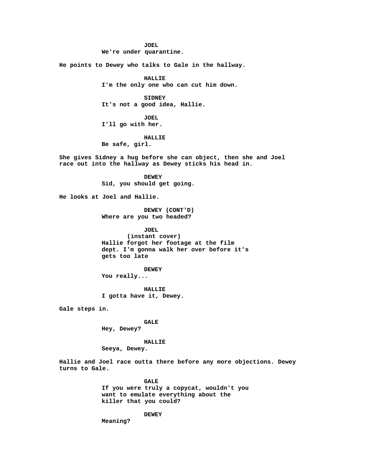**JOEL**

**We're under quarantine.**

**He points to Dewey who talks to Gale in the hallway.**

**HALLIE I'm the only one who can cut him down.**

**SIDNEY It's not a good idea, Hallie.**

**JOEL I'll go with her.**

# **HALLIE Be safe, girl.**

**She gives Sidney a hug before she can object, then she and Joel race out into the hallway as Dewey sticks his head in.**

> **DEWEY Sid, you should get going.**

**He looks at Joel and Hallie.**

**DEWEY (CONT'D) Where are you two headed?**

**JOEL**

**(instant cover) Hallie forgot her footage at the film dept. I'm gonna walk her over before it's gets too late**

**DEWEY**

**You really...**

**HALLIE I gotta have it, Dewey.**

**Gale steps in.**

**GALE Hey, Dewey?**

**HALLIE**

**Seeya, Dewey.**

**Hallie and Joel race outta there before any more objections. Dewey turns to Gale.**

> **GALE If you were truly a copycat, wouldn't you want to emulate everything about the killer that you could?**

> > **DEWEY**

**Meaning?**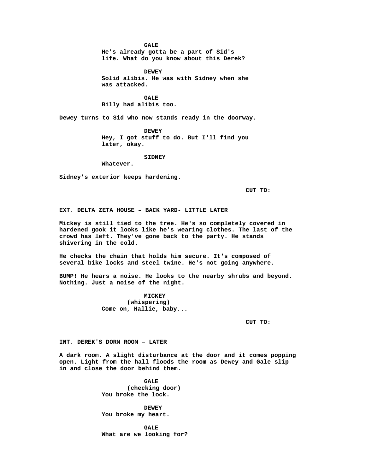**GALE**

**He's already gotta be a part of Sid's life. What do you know about this Derek?**

**DEWEY Solid alibis. He was with Sidney when she was attacked.**

**GALE Billy had alibis too.**

**Dewey turns to Sid who now stands ready in the doorway.**

**DEWEY Hey, I got stuff to do. But I'll find you later, okay.**

**SIDNEY**

**Whatever.**

**Sidney's exterior keeps hardening.**

**CUT TO:**

**EXT. DELTA ZETA HOUSE – BACK YARD- LITTLE LATER**

**Mickey is still tied to the tree. He's so completely covered in hardened gook it looks like he's wearing clothes. The last of the crowd has left. They've gone back to the party. He stands shivering in the cold.**

**He checks the chain that holds him secure. It's composed of several bike locks and steel twine. He's not going anywhere.**

**BUMP! He hears a noise. He looks to the nearby shrubs and beyond. Nothing. Just a noise of the night.**

> **MICKEY (whispering) Come on, Hallie, baby...**

> > **CUT TO:**

**INT. DEREK'S DORM ROOM – LATER**

**A dark room. A slight disturbance at the door and it comes popping open. Light from the hall floods the room as Dewey and Gale slip in and close the door behind them.**

> **GALE (checking door) You broke the lock.**

**DEWEY You broke my heart.**

**GALE What are we looking for?**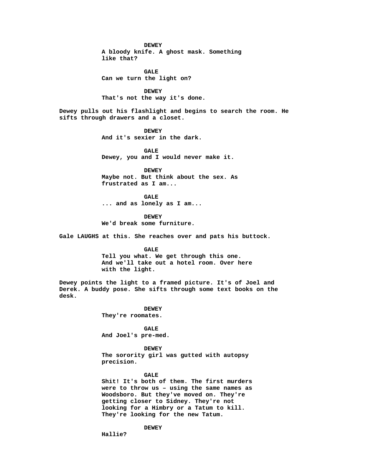#### **DEWEY**

**A bloody knife. A ghost mask. Something like that?**

**GALE Can we turn the light on?**

**DEWEY That's not the way it's done.**

**Dewey pulls out his flashlight and begins to search the room. He sifts through drawers and a closet.**

> **DEWEY And it's sexier in the dark.**

**GALE Dewey, you and I would never make it.**

**DEWEY Maybe not. But think about the sex. As frustrated as I am...**

**GALE ... and as lonely as I am...**

**DEWEY We'd break some furniture.**

**Gale LAUGHS at this. She reaches over and pats his buttock.**

**GALE Tell you what. We get through this one. And we'll take out a hotel room. Over here with the light.**

**Dewey points the light to a framed picture. It's of Joel and Derek. A buddy pose. She sifts through some text books on the desk.**

> **DEWEY They're roomates.**

**GALE And Joel's pre-med.**

**DEWEY The sorority girl was gutted with autopsy precision.**

# **GALE**

**Shit! It's both of them. The first murders were to throw us – using the same names as Woodsboro. But they've moved on. They're getting closer to Sidney. They're not looking for a Himbry or a Tatum to kill. They're looking for the new Tatum.**

**DEWEY**

**Hallie?**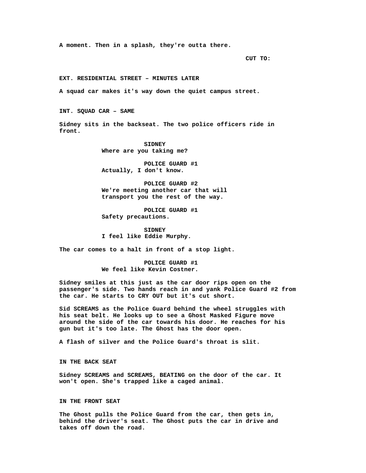**A moment. Then in a splash, they're outta there.**

**CUT TO:**

**EXT. RESIDENTIAL STREET – MINUTES LATER**

**A squad car makes it's way down the quiet campus street.**

**INT. SQUAD CAR – SAME**

**Sidney sits in the backseat. The two police officers ride in front.**

> **SIDNEY Where are you taking me?**

**POLICE GUARD #1 Actually, I don't know.**

**POLICE GUARD #2 We're meeting another car that will transport you the rest of the way.**

**POLICE GUARD #1 Safety precautions.**

**SIDNEY I feel like Eddie Murphy.**

**The car comes to a halt in front of a stop light.**

**POLICE GUARD #1 We feel like Kevin Costner.**

**Sidney smiles at this just as the car door rips open on the passenger's side. Two hands reach in and yank Police Guard #2 from the car. He starts to CRY OUT but it's cut short.**

**Sid SCREAMS as the Police Guard behind the wheel struggles with his seat belt. He looks up to see a Ghost Masked Figure move around the side of the car towards his door. He reaches for his gun but it's too late. The Ghost has the door open.**

**A flash of silver and the Police Guard's throat is slit.**

**IN THE BACK SEAT**

**Sidney SCREAMS and SCREAMS, BEATING on the door of the car. It won't open. She's trapped like a caged animal.**

**IN THE FRONT SEAT**

**The Ghost pulls the Police Guard from the car, then gets in, behind the driver's seat. The Ghost puts the car in drive and takes off down the road.**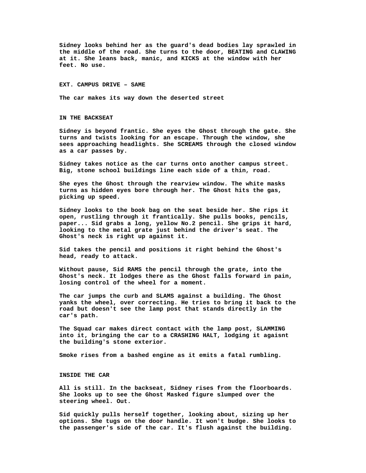**Sidney looks behind her as the guard's dead bodies lay sprawled in the middle of the road. She turns to the door, BEATING and CLAWING at it. She leans back, manic, and KICKS at the window with her feet. No use.**

#### **EXT. CAMPUS DRIVE – SAME**

**The car makes its way down the deserted street**

**IN THE BACKSEAT**

**Sidney is beyond frantic. She eyes the Ghost through the gate. She turns and twists looking for an escape. Through the window, she sees approaching headlights. She SCREAMS through the closed window as a car passes by.**

**Sidney takes notice as the car turns onto another campus street. Big, stone school buildings line each side of a thin, road.**

**She eyes the Ghost through the rearview window. The white masks turns as hidden eyes bore through her. The Ghost hits the gas, picking up speed.**

**Sidney looks to the book bag on the seat beside her. She rips it open, rustling through it frantically. She pulls books, pencils, paper... Sid grabs a long, yellow No.2 pencil. She grips it hard, looking to the metal grate just behind the driver's seat. The Ghost's neck is right up against it.**

**Sid takes the pencil and positions it right behind the Ghost's head, ready to attack.**

**Without pause, Sid RAMS the pencil through the grate, into the Ghost's neck. It lodges there as the Ghost falls forward in pain, losing control of the wheel for a moment.**

**The car jumps the curb and SLAMS against a building. The Ghost yanks the wheel, over correcting. He tries to bring it back to the road but doesn't see the lamp post that stands directly in the car's path.**

**The Squad car makes direct contact with the lamp post, SLAMMING into it, bringing the car to a CRASHING HALT, lodging it agaisnt the building's stone exterior.**

**Smoke rises from a bashed engine as it emits a fatal rumbling.**

#### **INSIDE THE CAR**

**All is still. In the backseat, Sidney rises from the floorboards. She looks up to see the Ghost Masked figure slumped over the steering wheel. Out.**

**Sid quickly pulls herself together, looking about, sizing up her options. She tugs on the door handle. It won't budge. She looks to the passenger's side of the car. It's flush against the building.**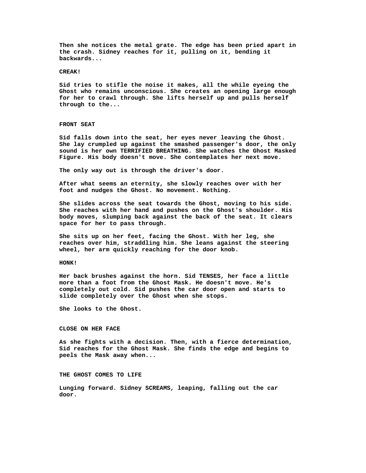**Then she notices the metal grate. The edge has been pried apart in the crash. Sidney reaches for it, pulling on it, bending it backwards...**

## **CREAK!**

**Sid tries to stifle the noise it makes, all the while eyeing the Ghost who remains unconscious. She creates an opening large enough for her to crawl through. She lifts herself up and pulls herself through to the...**

## **FRONT SEAT**

**Sid falls down into the seat, her eyes never leaving the Ghost. She lay crumpled up against the smashed passenger's door, the only sound is her own TERRIFIED BREATHING. She watches the Ghost Masked Figure. His body doesn't move. She contemplates her next move.**

**The only way out is through the driver's door.**

**After what seems an eternity, she slowly reaches over with her foot and nudges the Ghost. No movement. Nothing.**

**She slides across the seat towards the Ghost, moving to his side. She reaches with her hand and pushes on the Ghost's shoulder. His body moves, slumping back against the back of the seat. It clears space for her to pass through.**

**She sits up on her feet, facing the Ghost. With her leg, she reaches over him, straddling him. She leans against the steering wheel, her arm quickly reaching for the door knob.**

## **HONK!**

**Her back brushes against the horn. Sid TENSES, her face a little more than a foot from the Ghost Mask. He doesn't move. He's completely out cold. Sid pushes the car door open and starts to slide completely over the Ghost when she stops.**

**She looks to the Ghost.**

# **CLOSE ON HER FACE**

**As she fights with a decision. Then, with a fierce determination, Sid reaches for the Ghost Mask. She finds the edge and begins to peels the Mask away when...**

**THE GHOST COMES TO LIFE**

**Lunging forward. Sidney SCREAMS, leaping, falling out the car door.**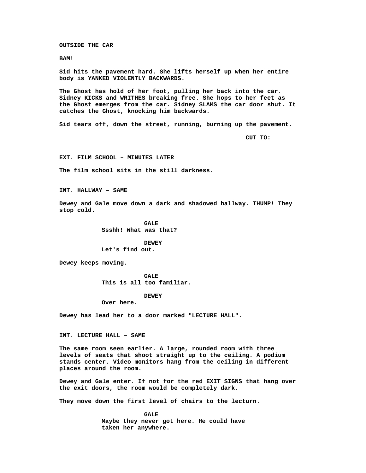**OUTSIDE THE CAR**

**BAM!**

**Sid hits the pavement hard. She lifts herself up when her entire body is YANKED VIOLENTLY BACKWARDS.**

**The Ghost has hold of her foot, pulling her back into the car. Sidney KICKS and WRITHES breaking free. She hops to her feet as the Ghost emerges from the car. Sidney SLAMS the car door shut. It catches the Ghost, knocking him backwards.**

**Sid tears off, down the street, running, burning up the pavement.**

**CUT TO:**

**EXT. FILM SCHOOL – MINUTES LATER**

**The film school sits in the still darkness.**

**INT. HALLWAY – SAME**

**Dewey and Gale move down a dark and shadowed hallway. THUMP! They stop cold.**

> **GALE Ssshh! What was that?**

**DEWEY Let's find out.**

**Dewey keeps moving.**

**GALE This is all too familiar.**

**DEWEY**

**Over here.**

**Dewey has lead her to a door marked "LECTURE HALL".**

**INT. LECTURE HALL – SAME**

**The same room seen earlier. A large, rounded room with three levels of seats that shoot straight up to the ceiling. A podium stands center. Video monitors hang from the ceiling in different places around the room.**

**Dewey and Gale enter. If not for the red EXIT SIGNS that hang over the exit doors, the room would be completely dark.**

**They move down the first level of chairs to the lecturn.**

**GALE Maybe they never got here. He could have taken her anywhere.**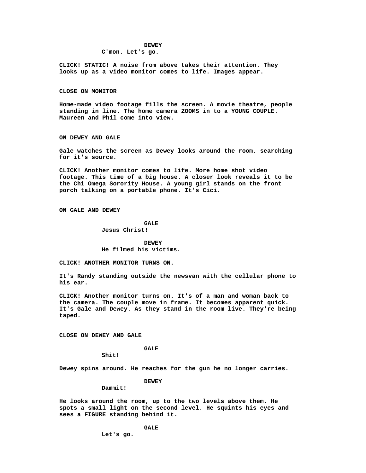#### **DEWEY**

# **C'mon. Let's go.**

**CLICK! STATIC! A noise from above takes their attention. They looks up as a video monitor comes to life. Images appear.**

#### **CLOSE ON MONITOR**

**Home-made video footage fills the screen. A movie theatre, people standing in line. The home camera ZOOMS in to a YOUNG COUPLE. Maureen and Phil come into view.**

**ON DEWEY AND GALE**

**Gale watches the screen as Dewey looks around the room, searching for it's source.**

**CLICK! Another monitor comes to life. More home shot video footage. This time of a big house. A closer look reveals it to be the Chi Omega Sorority House. A young girl stands on the front porch talking on a portable phone. It's Cici.**

**ON GALE AND DEWEY**

# **GALE**

**Jesus Christ!**

# **DEWEY He filmed his victims.**

**CLICK! ANOTHER MONITOR TURNS ON.**

**It's Randy standing outside the newsvan with the cellular phone to his ear.**

**CLICK! Another monitor turns on. It's of a man and woman back to the camera. The couple move in frame. It becomes apparent quick. It's Gale and Dewey. As they stand in the room live. They're being taped.**

**CLOSE ON DEWEY AND GALE**

# **GALE**

**Shit!**

**Dewey spins around. He reaches for the gun he no longer carries.**

## **DEWEY**

#### **Dammit!**

**He looks around the room, up to the two levels above them. He spots a small light on the second level. He squints his eyes and sees a FIGURE standing behind it.**

**GALE**

**Let's go.**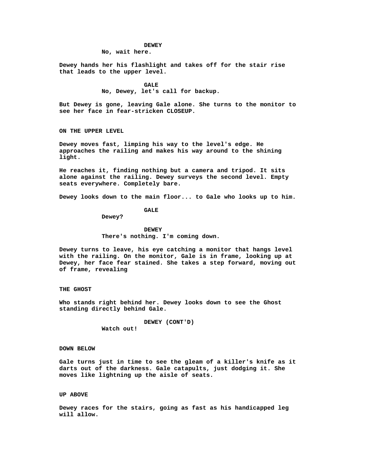#### **DEWEY**

**No, wait here.**

**Dewey hands her his flashlight and takes off for the stair rise that leads to the upper level.**

> **GALE No, Dewey, let's call for backup.**

**But Dewey is gone, leaving Gale alone. She turns to the monitor to see her face in fear-stricken CLOSEUP.**

**ON THE UPPER LEVEL**

**Dewey moves fast, limping his way to the level's edge. He approaches the railing and makes his way around to the shining light.**

**He reaches it, finding nothing but a camera and tripod. It sits alone against the railing. Dewey surveys the second level. Empty seats everywhere. Completely bare.**

**Dewey looks down to the main floor... to Gale who looks up to him.**

**GALE**

**Dewey?**

**DEWEY There's nothing. I'm coming down.**

**Dewey turns to leave, his eye catching a monitor that hangs level with the railing. On the monitor, Gale is in frame, looking up at Dewey, her face fear stained. She takes a step forward, moving out of frame, revealing**

# **THE GHOST**

**Who stands right behind her. Dewey looks down to see the Ghost standing directly behind Gale.**

> **DEWEY (CONT'D) Watch out!**

## **DOWN BELOW**

**Gale turns just in time to see the gleam of a killer's knife as it darts out of the darkness. Gale catapults, just dodging it. She moves like lightning up the aisle of seats.**

# **UP ABOVE**

**Dewey races for the stairs, going as fast as his handicapped leg will allow.**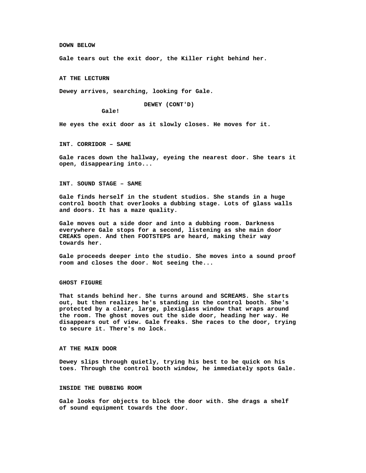#### **DOWN BELOW**

**Gale tears out the exit door, the Killer right behind her.**

**AT THE LECTURN**

**Dewey arrives, searching, looking for Gale.**

**DEWEY (CONT'D)**

**Gale!**

**He eyes the exit door as it slowly closes. He moves for it.**

**INT. CORRIDOR – SAME**

**Gale races down the hallway, eyeing the nearest door. She tears it open, disappearing into...**

**INT. SOUND STAGE – SAME**

**Gale finds herself in the student studios. She stands in a huge control booth that overlooks a dubbing stage. Lots of glass walls and doors. It has a maze quality.**

**Gale moves out a side door and into a dubbing room. Darkness everywhere Gale stops for a second, listening as she main door CREAKS open. And then FOOTSTEPS are heard, making their way towards her.**

**Gale proceeds deeper into the studio. She moves into a sound proof room and closes the door. Not seeing the...**

## **GHOST FIGURE**

**That stands behind her. She turns around and SCREAMS. She starts out, but then realizes he's standing in the control booth. She's protected by a clear, large, plexiglass window that wraps around the room. The ghost moves out the side door, heading her way. He disappears out of view. Gale freaks. She races to the door, trying to secure it. There's no lock.**

## **AT THE MAIN DOOR**

**Dewey slips through quietly, trying his best to be quick on his toes. Through the control booth window, he immediately spots Gale.**

# **INSIDE THE DUBBING ROOM**

**Gale looks for objects to block the door with. She drags a shelf of sound equipment towards the door.**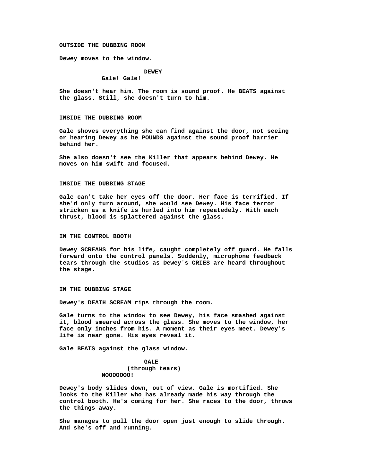#### **OUTSIDE THE DUBBING ROOM**

**Dewey moves to the window.**

#### **DEWEY**

**Gale! Gale!**

**She doesn't hear him. The room is sound proof. He BEATS against the glass. Still, she doesn't turn to him.**

#### **INSIDE THE DUBBING ROOM**

**Gale shoves everything she can find against the door, not seeing or hearing Dewey as he POUNDS against the sound proof barrier behind her.**

**She also doesn't see the Killer that appears behind Dewey. He moves on him swift and focused.**

#### **INSIDE THE DUBBING STAGE**

**Gale can't take her eyes off the door. Her face is terrified. If she'd only turn around, she would see Dewey. His face terror stricken as a knife is hurled into him repeatedely. With each thrust, blood is splattered against the glass.**

## **IN THE CONTROL BOOTH**

**Dewey SCREAMS for his life, caught completely off guard. He falls forward onto the control panels. Suddenly, microphone feedback tears through the studios as Dewey's CRIES are heard throughout the stage.**

## **IN THE DUBBING STAGE**

**Dewey's DEATH SCREAM rips through the room.**

**Gale turns to the window to see Dewey, his face smashed against it, blood smeared across the glass. She moves to the window, her face only inches from his. A moment as their eyes meet. Dewey's life is near gone. His eyes reveal it.**

**Gale BEATS against the glass window.**

# **GALE (through tears) NOOOOOOO!**

**Dewey's body slides down, out of view. Gale is mortified. She looks to the Killer who has already made his way through the control booth. He's coming for her. She races to the door, throws the things away.**

**She manages to pull the door open just enough to slide through. And she's off and running.**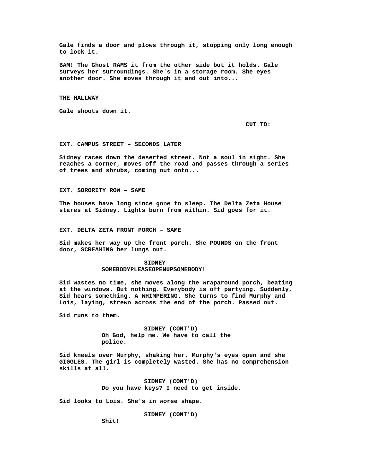**Gale finds a door and plows through it, stopping only long enough to lock it.**

**BAM! The Ghost RAMS it from the other side but it holds. Gale surveys her surroundings. She's in a storage room. She eyes another door. She moves through it and out into...**

**THE HALLWAY**

**Gale shoots down it.**

**CUT TO:**

**EXT. CAMPUS STREET – SECONDS LATER**

**Sidney races down the deserted street. Not a soul in sight. She reaches a corner, moves off the road and passes through a series of trees and shrubs, coming out onto...**

**EXT. SORORITY ROW – SAME**

**The houses have long since gone to sleep. The Delta Zeta House stares at Sidney. Lights burn from within. Sid goes for it.**

**EXT. DELTA ZETA FRONT PORCH – SAME**

**Sid makes her way up the front porch. She POUNDS on the front door, SCREAMING her lungs out.**

## **SIDNEY SOMEBODYPLEASEOPENUPSOMEBODY!**

**Sid wastes no time, she moves along the wraparound porch, beating at the windows. But nothing. Everybody is off partying. Suddenly, Sid hears something. A WHIMPERING. She turns to find Murphy and Lois, laying, strewn across the end of the porch. Passed out.**

**Sid runs to them.**

**SIDNEY (CONT'D) Oh God, help me. We have to call the police.**

**Sid kneels over Murphy, shaking her. Murphy's eyes open and she GIGGLES. The girl is completely wasted. She has no comprehension skills at all.**

> **SIDNEY (CONT'D) Do you have keys? I need to get inside.**

**Sid looks to Lois. She's in worse shape.**

**SIDNEY (CONT'D)**

**Shit!**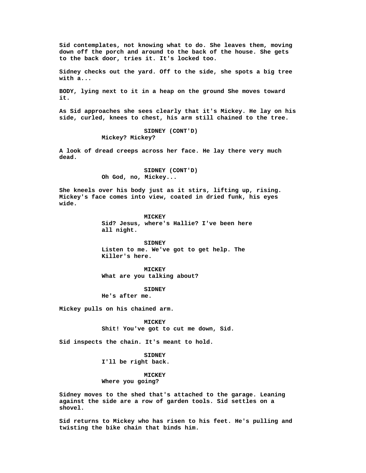**Sid contemplates, not knowing what to do. She leaves them, moving down off the porch and around to the back of the house. She gets to the back door, tries it. It's locked too.**

**Sidney checks out the yard. Off to the side, she spots a big tree with a...**

**BODY, lying next to it in a heap on the ground She moves toward it.**

**As Sid approaches she sees clearly that it's Mickey. He lay on his side, curled, knees to chest, his arm still chained to the tree.**

> **SIDNEY (CONT'D) Mickey? Mickey?**

**A look of dread creeps across her face. He lay there very much dead.**

> **SIDNEY (CONT'D) Oh God, no, Mickey...**

**She kneels over his body just as it stirs, lifting up, rising. Mickey's face comes into view, coated in dried funk, his eyes wide.**

> **MICKEY Sid? Jesus, where's Hallie? I've been here all night.**

**SIDNEY Listen to me. We've got to get help. The Killer's here.**

**MICKEY What are you talking about?**

**SIDNEY**

**He's after me.**

**Mickey pulls on his chained arm.**

**MICKEY Shit! You've got to cut me down, Sid.**

**Sid inspects the chain. It's meant to hold.**

**SIDNEY I'll be right back.**

**MICKEY Where you going?**

**Sidney moves to the shed that's attached to the garage. Leaning against the side are a row of garden tools. Sid settles on a shovel.**

**Sid returns to Mickey who has risen to his feet. He's pulling and twisting the bike chain that binds him.**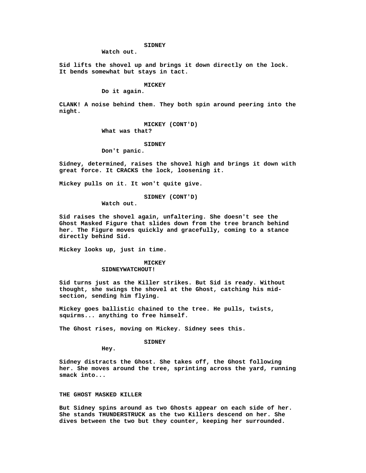## **SIDNEY**

**Watch out.**

**Sid lifts the shovel up and brings it down directly on the lock. It bends somewhat but stays in tact.**

# **MICKEY**

**Do it again.**

**CLANK! A noise behind them. They both spin around peering into the night.**

> **MICKEY (CONT'D) What was that?**

#### **SIDNEY**

**Don't panic.**

**Sidney, determined, raises the shovel high and brings it down with great force. It CRACKS the lock, loosening it.**

**Mickey pulls on it. It won't quite give.**

# **SIDNEY (CONT'D)**

**Watch out.**

**Sid raises the shovel again, unfaltering. She doesn't see the Ghost Masked Figure that slides down from the tree branch behind her. The Figure moves quickly and gracefully, coming to a stance directly behind Sid.**

**Mickey looks up, just in time.**

# **MICKEY**

**SIDNEYWATCHOUT!**

**Sid turns just as the Killer strikes. But Sid is ready. Without thought, she swings the shovel at the Ghost, catching his midsection, sending him flying.**

**Mickey goes ballistic chained to the tree. He pulls, twists, squirms... anything to free himself.**

**The Ghost rises, moving on Mickey. Sidney sees this.**

# **SIDNEY**

**Hey.**

**Sidney distracts the Ghost. She takes off, the Ghost following her. She moves around the tree, sprinting across the yard, running smack into...**

# **THE GHOST MASKED KILLER**

**But Sidney spins around as two Ghosts appear on each side of her. She stands THUNDERSTRUCK as the two Killers descend on her. She dives between the two but they counter, keeping her surrounded.**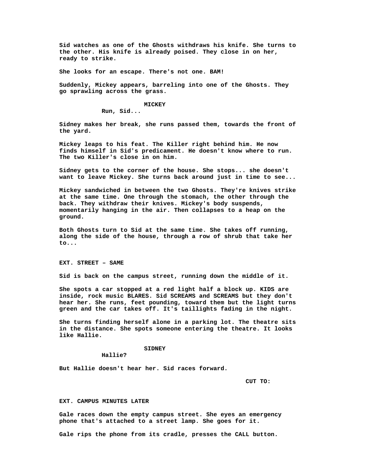**Sid watches as one of the Ghosts withdraws his knife. She turns to the other. His knife is already poised. They close in on her, ready to strike.**

**She looks for an escape. There's not one. BAM!**

**Suddenly, Mickey appears, barreling into one of the Ghosts. They go sprawling across the grass.**

#### **MICKEY**

**Run, Sid...**

**Sidney makes her break, she runs passed them, towards the front of the yard.**

**Mickey leaps to his feat. The Killer right behind him. He now finds himself in Sid's predicament. He doesn't know where to run. The two Killer's close in on him.**

**Sidney gets to the corner of the house. She stops... she doesn't want to leave Mickey. She turns back around just in time to see...**

**Mickey sandwiched in between the two Ghosts. They're knives strike at the same time. One through the stomach, the other through the back. They withdraw their knives. Mickey's body suspends, momentarily hanging in the air. Then collapses to a heap on the ground.**

**Both Ghosts turn to Sid at the same time. She takes off running, along the side of the house, through a row of shrub that take her to...**

**EXT. STREET – SAME**

**Sid is back on the campus street, running down the middle of it.**

**She spots a car stopped at a red light half a block up. KIDS are inside, rock music BLARES. Sid SCREAMS and SCREAMS but they don't hear her. She runs, feet pounding, toward them but the light turns green and the car takes off. It's taillights fading in the night.**

**She turns finding herself alone in a parking lot. The theatre sits in the distance. She spots someone entering the theatre. It looks like Hallie.**

## **SIDNEY**

**Hallie?**

**But Hallie doesn't hear her. Sid races forward.**

**CUT TO:**

## **EXT. CAMPUS MINUTES LATER**

**Gale races down the empty campus street. She eyes an emergency phone that's attached to a street lamp. She goes for it.**

**Gale rips the phone from its cradle, presses the CALL button.**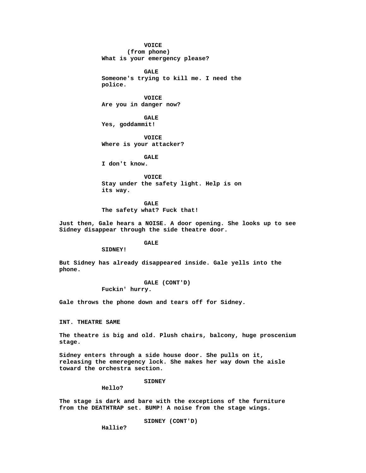**VOICE (from phone) What is your emergency please?**

**GALE Someone's trying to kill me. I need the police.**

**VOICE Are you in danger now?**

**GALE Yes, goddammit!**

**VOICE Where is your attacker?**

**GALE I don't know.**

**VOICE Stay under the safety light. Help is on its way.**

**GALE The safety what? Fuck that!**

**Just then, Gale hears a NOISE. A door opening. She looks up to see Sidney disappear through the side theatre door.**

**GALE**

**SIDNEY!**

**But Sidney has already disappeared inside. Gale yells into the phone.**

**GALE (CONT'D)**

**Fuckin' hurry.**

**Gale throws the phone down and tears off for Sidney.**

**INT. THEATRE SAME**

**The theatre is big and old. Plush chairs, balcony, huge proscenium stage.**

**Sidney enters through a side house door. She pulls on it, releasing the emeregency lock. She makes her way down the aisle toward the orchestra section.**

**SIDNEY**

**Hello?**

**The stage is dark and bare with the exceptions of the furniture from the DEATHTRAP set. BUMP! A noise from the stage wings.**

**SIDNEY (CONT'D)**

**Hallie?**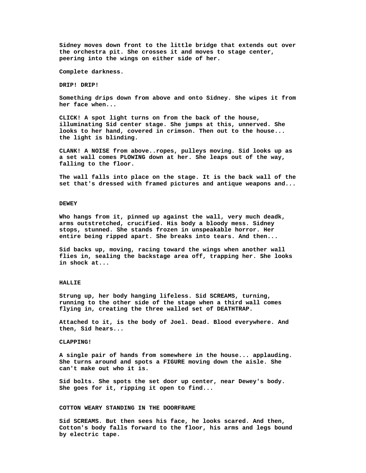**Sidney moves down front to the little bridge that extends out over the orchestra pit. She crosses it and moves to stage center, peering into the wings on either side of her.**

**Complete darkness.**

**DRIP! DRIP!**

**Something drips down from above and onto Sidney. She wipes it from her face when...**

**CLICK! A spot light turns on from the back of the house, illuminating Sid center stage. She jumps at this, unnerved. She looks to her hand, covered in crimson. Then out to the house... the light is blinding.**

**CLANK! A NOISE from above..ropes, pulleys moving. Sid looks up as a set wall comes PLOWING down at her. She leaps out of the way, falling to the floor.**

**The wall falls into place on the stage. It is the back wall of the set that's dressed with framed pictures and antique weapons and...**

## **DEWEY**

**Who hangs from it, pinned up against the wall, very much deadk, arms outstretched, crucified. His body a bloody mess. Sidney stops, stunned. She stands frozen in unspeakable horror. Her entire being ripped apart. She breaks into tears. And then...**

**Sid backs up, moving, racing toward the wings when another wall flies in, sealing the backstage area off, trapping her. She looks in shock at...**

## **HALLIE**

**Strung up, her body hanging lifeless. Sid SCREAMS, turning, running to the other side of the stage when a third wall comes flying in, creating the three walled set of DEATHTRAP.**

**Attached to it, is the body of Joel. Dead. Blood everywhere. And then, Sid hears...**

## **CLAPPING!**

**A single pair of hands from somewhere in the house... applauding. She turns around and spots a FIGURE moving down the aisle. She can't make out who it is.**

**Sid bolts. She spots the set door up center, near Dewey's body. She goes for it, ripping it open to find...**

#### **COTTON WEARY STANDING IN THE DOORFRAME**

**Sid SCREAMS. But then sees his face, he looks scared. And then, Cotton's body falls forward to the floor, his arms and legs bound by electric tape.**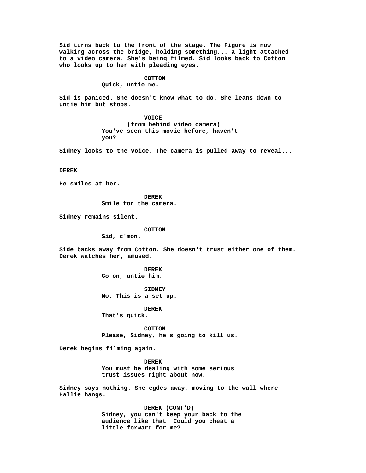**Sid turns back to the front of the stage. The Figure is now walking across the bridge, holding something... a light attached to a video camera. She's being filmed. Sid looks back to Cotton who looks up to her with pleading eyes.**

#### **COTTON**

**Quick, untie me.**

**Sid is paniced. She doesn't know what to do. She leans down to untie him but stops.**

> **VOICE (from behind video camera) You've seen this movie before, haven't you?**

**Sidney looks to the voice. The camera is pulled away to reveal...**

**DEREK**

**He smiles at her.**

**DEREK Smile for the camera.**

**Sidney remains silent.**

#### **COTTON**

**Sid, c'mon.**

**Side backs away from Cotton. She doesn't trust either one of them. Derek watches her, amused.**

> **DEREK Go on, untie him.**

**SIDNEY No. This is a set up.**

**DEREK That's quick.**

**COTTON Please, Sidney, he's going to kill us.**

**Derek begins filming again.**

**DEREK You must be dealing with some serious trust issues right about now.**

**Sidney says nothing. She egdes away, moving to the wall where Hallie hangs.**

> **DEREK (CONT'D) Sidney, you can't keep your back to the audience like that. Could you cheat a little forward for me?**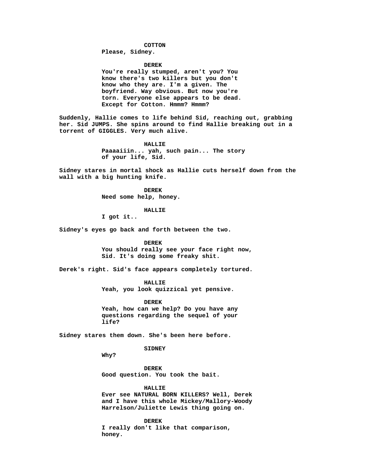## **COTTON**

# **Please, Sidney.**

**DEREK**

**You're really stumped, aren't you? You know there's two killers but you don't know who they are. I'm a given. The boyfriend. Way obvious. But now you're torn. Everyone else appears to be dead. Except for Cotton. Hmmm? Hmmm?**

**Suddenly, Hallie comes to life behind Sid, reaching out, grabbing her. Sid JUMPS. She spins around to find Hallie breaking out in a torrent of GIGGLES. Very much alive.**

## **HALLIE**

**Paaaaiiin... yah, such pain... The story of your life, Sid.**

**Sidney stares in mortal shock as Hallie cuts herself down from the wall with a big hunting knife.**

> **DEREK Need some help, honey.**

## **HALLIE**

**I got it..**

**Sidney's eyes go back and forth between the two.**

## **DEREK**

**You should really see your face right now, Sid. It's doing some freaky shit.**

**Derek's right. Sid's face appears completely tortured.**

## **HALLIE**

**Yeah, you look quizzical yet pensive.**

**DEREK Yeah, how can we help? Do you have any questions regarding the sequel of your life?**

**Sidney stares them down. She's been here before.**

# **SIDNEY**

**Why?**

**DEREK Good question. You took the bait.**

**HALLIE**

**Ever see NATURAL BORN KILLERS? Well, Derek and I have this whole Mickey/Mallory-Woody Harrelson/Juliette Lewis thing going on.**

**DEREK I really don't like that comparison, honey.**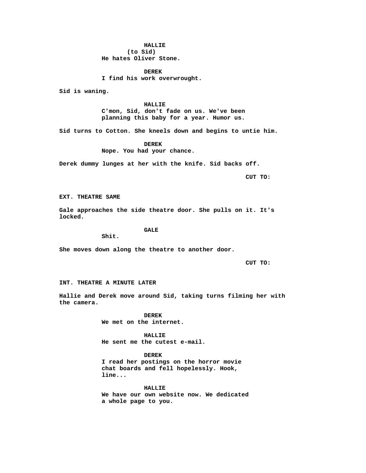**HALLIE (to Sid) He hates Oliver Stone.**

**DEREK I find his work overwrought.**

**Sid is waning.**

**HALLIE C'mon, Sid, don't fade on us. We've been planning this baby for a year. Humor us.**

**Sid turns to Cotton. She kneels down and begins to untie him.**

**DEREK Nope. You had your chance.**

**Derek dummy lunges at her with the knife. Sid backs off.**

**CUT TO:**

**EXT. THEATRE SAME**

**Gale approaches the side theatre door. She pulls on it. It's locked.**

**GALE**

**Shit.**

**She moves down along the theatre to another door.**

**CUT TO:**

## **INT. THEATRE A MINUTE LATER**

**Hallie and Derek move around Sid, taking turns filming her with the camera.**

> **DEREK We met on the internet.**

**HALLIE He sent me the cutest e-mail.**

**DEREK I read her postings on the horror movie chat boards and fell hopelessly. Hook, line...**

**HALLIE We have our own website now. We dedicated a whole page to you.**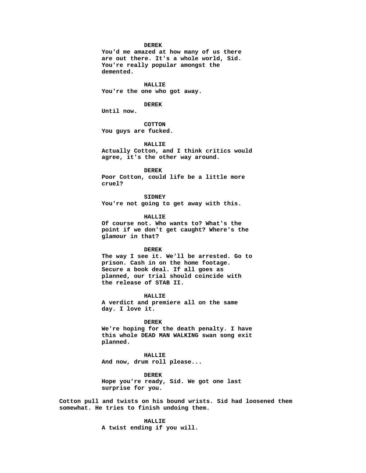#### **DEREK**

**You'd me amazed at how many of us there are out there. It's a whole world, Sid. You're really popular amongst the demented.**

**HALLIE You're the one who got away.**

#### **DEREK**

**Until now.**

**COTTON You guys are fucked.**

**HALLIE Actually Cotton, and I think critics would agree, it's the other way around.**

**DEREK Poor Cotton, could life be a little more cruel?**

**SIDNEY You're not going to get away with this.**

**HALLIE**

**Of course not. Who wants to? What's the point if we don't get caught? Where's the glamour in that?**

#### **DEREK**

**The way I see it. We'll be arrested. Go to prison. Cash in on the home footage. Secure a book deal. If all goes as planned, our trial should coincide with the release of STAB II.**

**HALLIE A verdict and premiere all on the same day. I love it.**

**DEREK We're hoping for the death penalty. I have this whole DEAD MAN WALKING swan song exit planned.**

**HALLIE And now, drum roll please...**

**DEREK Hope you're ready, Sid. We got one last surprise for you.**

**Cotton pull and twists on his bound wrists. Sid had loosened them somewhat. He tries to finish undoing them.**

**HALLIE**

**A twist ending if you will.**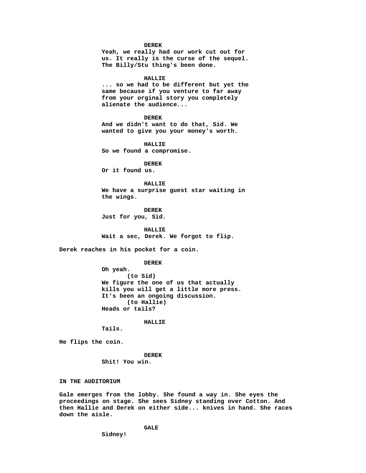#### **DEREK**

**Yeah, we really had our work cut out for us. It really is the curse of the sequel. The Billy/Stu thing's been done.**

#### **HALLIE**

**... so we had to be different but yet the same because if you venture to far away from your orginal story you completely alienate the audience...**

#### **DEREK**

**And we didn't want to do that, Sid. We wanted to give you your money's worth.**

**HALLIE So we found a compromise.**

**DEREK Or it found us.**

#### **HALLIE**

**We have a surprise guest star waiting in the wings.**

**DEREK Just for you, Sid.**

**HALLIE Wait a sec, Derek. We forgot to flip.**

**Derek reaches in his pocket for a coin.**

#### **DEREK**

**Oh yeah. (to Sid) We figure the one of us that actually kills you will get a little more press. It's been an ongoing discussion. (to Hallie) Heads or tails?**

**HALLIE**

**Tails.**

**He flips the coin.**

**DEREK Shit! You win.**

# **IN THE AUDITORIUM**

**Gale emerges from the lobby. She found a way in. She eyes the proceedings on stage. She sees Sidney standing over Cotton. And then Hallie and Derek on either side... knives in hand. She races down the aisle.**

**GALE**

**Sidney!**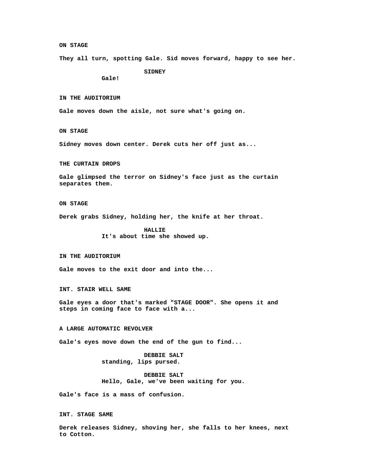#### **ON STAGE**

**They all turn, spotting Gale. Sid moves forward, happy to see her.**

**SIDNEY**

**Gale!**

**IN THE AUDITORIUM**

**Gale moves down the aisle, not sure what's going on.**

**ON STAGE**

**Sidney moves down center. Derek cuts her off just as...**

**THE CURTAIN DROPS**

**Gale glimpsed the terror on Sidney's face just as the curtain separates them.**

# **ON STAGE**

**Derek grabs Sidney, holding her, the knife at her throat.**

**HALLIE It's about time she showed up.**

**IN THE AUDITORIUM**

**Gale moves to the exit door and into the...**

**INT. STAIR WELL SAME**

**Gale eyes a door that's marked "STAGE DOOR". She opens it and steps in coming face to face with a...**

# **A LARGE AUTOMATIC REVOLVER**

**Gale's eyes move down the end of the gun to find...**

# **DEBBIE SALT standing, lips pursed.**

**DEBBIE SALT Hello, Gale, we've been waiting for you.**

**Gale's face is a mass of confusion.**

**INT. STAGE SAME**

**Derek releases Sidney, shoving her, she falls to her knees, next to Cotton.**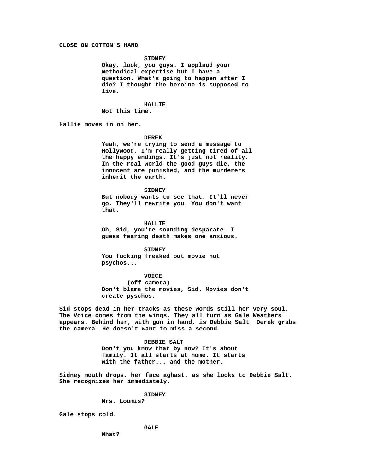## **CLOSE ON COTTON'S HAND**

## **SIDNEY**

**Okay, look, you guys. I applaud your methodical expertise but I have a question. What's going to happen after I die? I thought the heroine is supposed to live.**

## **HALLIE**

**Not this time.**

**Hallie moves in on her.**

## **DEREK**

**Yeah, we're trying to send a message to Hollywood. I'm really getting tired of all the happy endings. It's just not reality. In the real world the good guys die, the innocent are punished, and the murderers inherit the earth.**

**SIDNEY**

**But nobody wants to see that. It'll never go. They'll rewrite you. You don't want that.**

**HALLIE Oh, Sid, you're sounding desparate. I guess fearing death makes one anxious.**

**SIDNEY You fucking freaked out movie nut psychos...**

**VOICE**

**(off camera) Don't blame the movies, Sid. Movies don't create pyschos.**

**Sid stops dead in her tracks as these words still her very soul. The Voice comes from the wings. They all turn as Gale Weathers appears. Behind her, with gun in hand, is Debbie Salt. Derek grabs the camera. He doesn't want to miss a second.**

#### **DEBBIE SALT**

**Don't you know that by now? It's about family. It all starts at home. It starts with the father... and the mother.**

**Sidney mouth drops, her face aghast, as she looks to Debbie Salt. She recognizes her immediately.**

# **SIDNEY**

**Mrs. Loomis?**

**Gale stops cold.**

**GALE**

**What?**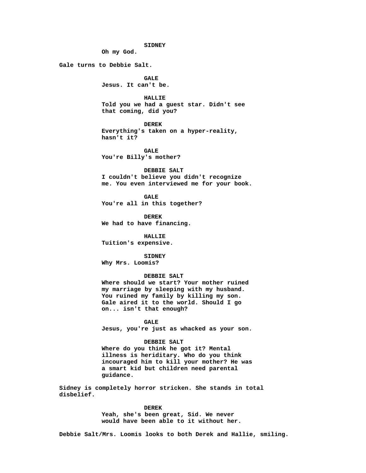**SIDNEY**

**Oh my God.**

**Gale turns to Debbie Salt.**

**GALE Jesus. It can't be.**

**HALLIE Told you we had a guest star. Didn't see that coming, did you?**

**DEREK Everything's taken on a hyper-reality, hasn't it?**

**GALE You're Billy's mother?**

**DEBBIE SALT I couldn't believe you didn't recognize me. You even interviewed me for your book.**

**GALE You're all in this together?**

**DEREK We had to have financing.**

**HALLIE Tuition's expensive.**

**SIDNEY Why Mrs. Loomis?**

## **DEBBIE SALT**

**Where should we start? Your mother ruined my marriage by sleeping with my husband. You ruined my family by killing my son. Gale aired it to the world. Should I go on... isn't that enough?**

**GALE Jesus, you're just as whacked as your son.**

## **DEBBIE SALT**

**Where do you think he got it? Mental illness is heriditary. Who do you think incouraged him to kill your mother? He was a smart kid but children need parental guidance.**

**Sidney is completely horror stricken. She stands in total disbelief.**

#### **DEREK**

**Yeah, she's been great, Sid. We never would have been able to it without her.**

**Debbie Salt/Mrs. Loomis looks to both Derek and Hallie, smiling.**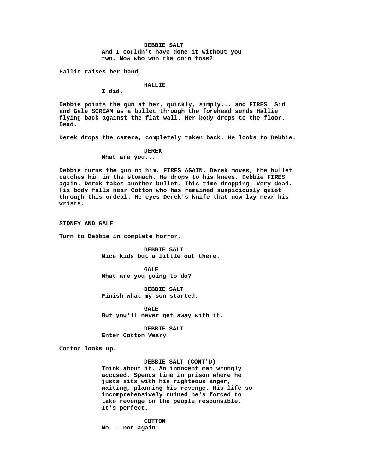**DEBBIE SALT And I couldn't have done it without you two. Now who won the coin toss?**

**Hallie raises her hand.**

## **HALLIE**

**I did.**

**Debbie points the gun at her, quickly, simply... and FIRES. Sid and Gale SCREAM as a bullet through the forehead sends Hallie flying back against the flat wall. Her body drops to the floor. Dead.**

**Derek drops the camera, completely taken back. He looks to Debbie.**

#### **DEREK**

**What are you...**

**Debbie turns the gun on him. FIRES AGAIN. Derek moves, the bullet catches him in the stomach. He drops to his knees. Debbie FIRES again. Derek takes another bullet. This time dropping. Very dead. His body falls near Cotton who has remained suspiciously quiet through this ordeal. He eyes Derek's knife that now lay near his wrists.**

**SIDNEY AND GALE**

**Turn to Debbie in complete horror.**

**DEBBIE SALT Nice kids but a little out there.**

**GALE What are you going to do?**

**DEBBIE SALT Finish what my son started.**

**GALE But you'll never get away with it.**

**DEBBIE SALT Enter Cotton Weary.**

**Cotton looks up.**

# **DEBBIE SALT (CONT'D)**

**Think about it. An innocent man wrongly accused. Spends time in prison where he justs sits with his righteous anger, waiting, planning his revenge. His life so incomprehensively ruined he's forced to take revenge on the people responsible. It's perfect.**

**COTTON No... not again.**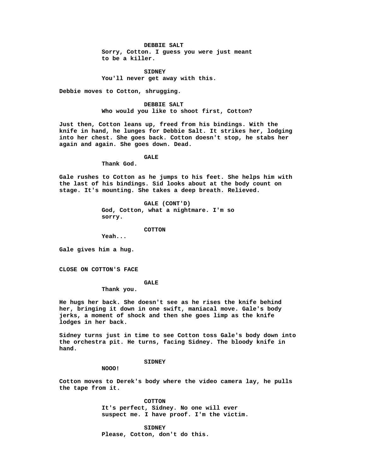# **DEBBIE SALT**

**Sorry, Cotton. I guess you were just meant to be a killer.**

**SIDNEY You'll never get away with this.**

**Debbie moves to Cotton, shrugging.**

**DEBBIE SALT Who would you like to shoot first, Cotton?**

**Just then, Cotton leans up, freed from his bindings. With the knife in hand, he lunges for Debbie Salt. It strikes her, lodging into her chest. She goes back. Cotton doesn't stop, he stabs her again and again. She goes down. Dead.**

#### **GALE**

**Thank God.**

**Gale rushes to Cotton as he jumps to his feet. She helps him with the last of his bindings. Sid looks about at the body count on stage. It's mounting. She takes a deep breath. Relieved.**

> **GALE (CONT'D) God, Cotton, what a nightmare. I'm so sorry.**

> > **COTTON**

**Yeah...**

**Gale gives him a hug.**

**CLOSE ON COTTON'S FACE**

## **GALE**

**Thank you.**

**He hugs her back. She doesn't see as he rises the knife behind her, bringing it down in one swift, maniacal move. Gale's body jerks, a moment of shock and then she goes limp as the knife lodges in her back.**

**Sidney turns just in time to see Cotton toss Gale's body down into the orchestra pit. He turns, facing Sidney. The bloody knife in hand.**

## **SIDNEY**

**NOOO!**

**Cotton moves to Derek's body where the video camera lay, he pulls the tape from it.**

> **COTTON It's perfect, Sidney. No one will ever suspect me. I have proof. I'm the victim.**

**SIDNEY Please, Cotton, don't do this.**